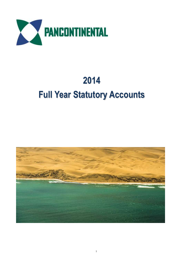

# **Full Year Statutory Accounts**

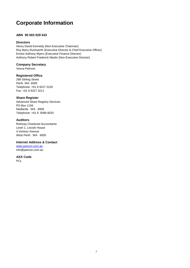# **Corporate Information**

# **ABN 95 003 029 543**

# **Directors**

Henry David Kennedy (Non-Executive Chairman) Roy Barry Rushworth (Executive Director & Chief Executive Officer) Ernest Anthony Myers (Executive Finance Director) Anthony Robert Frederick Maslin (Non-Executive Director)

# **Company Secretary**

Vesna Petrovic

# **Registered Office**

288 Stirling Street Perth WA 6000 Telephone: +61 8 9227 3220 Fax: +61 8 9227 3211

# **Share Register**

Advanced Share Registry Services PO Box 1156 Nedlands WA 6909 Telephone: +61 8 9389 8033

# **Auditors**

Rothsay Chartered Accountants Level 1, Lincoln House 4 Ventnor Avenue West Perth WA 6005

# **Internet Address & Contact**

[www.pancon.com.au](http://www.pancon.com.au/) info@pancon.com.au

# **ASX Code**

PCL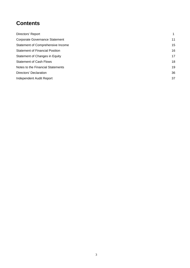# **Contents**

| Directors' Report                      | 1  |
|----------------------------------------|----|
| <b>Corporate Governance Statement</b>  | 11 |
| Statement of Comprehensive Income      | 15 |
| <b>Statement of Financial Position</b> | 16 |
| Statement of Changes in Equity         | 17 |
| <b>Statement of Cash Flows</b>         | 18 |
| Notes to the Financial Statements      | 19 |
| Directors' Declaration                 | 36 |
| Independent Audit Report               | 37 |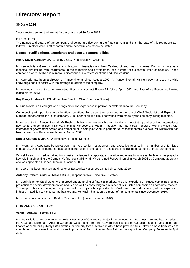# **Directors' Report**

# **30 June 2014**

Your directors submit their report for the year ended 30 June 2014.

#### **DIRECTORS**

The names and details of the company's directors in office during the financial year and until the date of this report are as follows. Directors were in office for this entire period unless otherwise stated.

#### **Names, qualifications, experience and special responsibilities**

**Henry David Kennedy** MA (Geology), SEG (Non-Executive Chairman)

Mr Kennedy is a Geologist with a long history in Australian and New Zealand oil and gas companies. During his time as a technical director he was instrumental in the formation and development of a number of successful listed companies. These companies were involved in numerous discoveries in Western Australia and New Zealand.

Mr Kennedy has been a director of Pancontinental since August 1999. At Pancontinental, Mr Kennedy has used his wide knowledge base to assist with the strategic direction of the company.

Mr Kennedy is currently a non-executive director of Norwest Energy NL (since April 1997) and East Africa Resources Limited (since March 2013).

#### **Roy Barry Rushworth**, BSc (Executive Director, Chief Executive Officer)

Mr Rushworth is a Geologist who brings extensive experience in petroleum exploration to the Company.

Commencing with positions in exploration operations, his career then extended to the role of Chief Geologist and Exploration Manager for an Australian listed company. A number of oil and gas discoveries were made by the company during that time.

More recently for Pancontinental, Mr Rushworth has been responsible for identifying, negotiating and acquiring international new venture opportunities in Kenya, Namibia, Morocco and Malta. In addition, he has a track record of working closely with international government bodies and attracting blue chip joint venture partners to Pancontinental"s projects. Mr Rushworth has been a director of Pancontinental since August 2005.

#### **Ernest Anthony Myers** CPA (Executive Finance Director)

Mr Myers, an Accountant by profession, has held senior management and executive roles within a number of ASX listed companies. During his career he has been instrumental in the capital raisings and financial management of these companies.

With skills and knowledge gained from vast experiences in corporate, exploration and operational areas, Mr Myers has played a key role in maintaining the Company"s financial stability. Mr Myers joined Pancontinental in March 2004 as Company Secretary and was appointed Finance Director in January 2009.

Mr Myers has been an alternate director of East Africa Resources Limited since June 2010.

#### **Anthony Robert Frederick Maslin** BBus (Independent Non-Executive Director)

Mr Maslin is an ex-Stockbroker with a broad understanding of financial markets. His past experience includes capital raising and promotion of several development companies as well as consulting to a number of ASX listed companies on corporate matters. The responsibility of managing people as well as projects has provided Mr Maslin with an understanding of the exploration industry in addition to his corporate background. Mr Maslin has been a director of Pancontinental since December 2010.

Mr Maslin is also a director of Buxton Resources Ltd (since November 2010).

#### **COMPANY SECRETARY**

#### **Vesna Petrovic**, BComm, CPA

Mrs Petrovic is an Accountant who holds a Bachelor of Commerce, Major in Accounting and Business Law and has completed the Graduate Diploma in Applied Corporate Governance from the Governance Institute of Australia. Roles in accounting and finance of numerous publicly listed entities, particularly those involved in Africa have provided Mrs Petrovic a base from which to contribute to the international and domestic projects of Pancontinental. Mrs Petrovic was appointed Company Secretary in April 2010.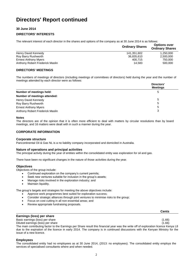# **30 June 2014**

# **DIRECTORS' INTERESTS**

The relevant interest of each director in the shares and options of the company as at 30 June 2014 is as follows:

|                                 | <b>Ordinary Shares</b> | <b>Options over</b><br><b>Ordinary Shares</b> |  |
|---------------------------------|------------------------|-----------------------------------------------|--|
| Henry David Kennedy             | 141.351.602            | 1.250.000                                     |  |
| Roy Barry Rushworth             | 36,835,610             | 2,500,000                                     |  |
| <b>Ernest Anthony Myers</b>     | 400.715                | 750,000                                       |  |
| Anthony Robert Frederick Maslin | 14.583                 | 500,000                                       |  |

# **DIRECTORS' MEETINGS**

The numbers of meetings of directors (including meetings of committees of directors) held during the year and the number of meetings attended by each director were as follows:

|                                 | Directors'<br><b>Meetings</b> |
|---------------------------------|-------------------------------|
| Number of meetings held:        |                               |
| Number of meetings attended:    |                               |
| Henry David Kennedy             |                               |
| Roy Barry Rushworth             | 5                             |
| <b>Ernest Anthony Myers</b>     | b                             |
| Anthony Robert Frederick Maslin | 3                             |

#### **Notes**

The directors are of the opinion that it is often more efficient to deal with matters by circular resolutions than by board meetings, and 16 matters were dealt with in such a manner during the year.

# **CORPORATE INFORMATION**

### **Corporate structure**

Pancontinental Oil & Gas NL is a no liability company incorporated and domiciled in Australia.

### **Nature of operations and principal activities**

The principal activity during the year of entities within the consolidated entity was exploration for oil and gas.

There have been no significant changes in the nature of those activities during the year.

### **Objectives**

Objectives of the group include:

- Continued exploration on the company"s current permits;
- Seek new ventures suitable for inclusion in the group's assets;
- Manage risks involved in the exploration industry; and
- Maintain liquidity.

The group's targets and strategies for meeting the above objectives include:

- Approve work programmes best suited for exploration success;
- Consider strategic alliances through joint ventures to minimise risks to the group;
- Focus on cost cutting in all non-essential areas; and
- Review appropriate fundraising proposals.

|                                                                                                                                    | Cents  |
|------------------------------------------------------------------------------------------------------------------------------------|--------|
| Earnings (loss) per share                                                                                                          |        |
| Basic earnings (loss) per share                                                                                                    | (1.66) |
| Diluted earnings (loss) per share                                                                                                  | (1.66) |
| The main contributing factor to the Earnings nor Chara requit this financial vear was the write off of evaleration license Kenya L |        |

The main contributing factor to the Earnings per Share result this financial year was the write off of exploration licence Kenya L8 due to the expiration of the licence in early 2014. The company is in continued discussions with the Kenyan Ministry for the issue of a new licence.

#### **Employees**

The consolidated entity had no employees as at 30 June 2014, (2013: no employees). The consolidated entity employs the services of specialised consultants where and when needed.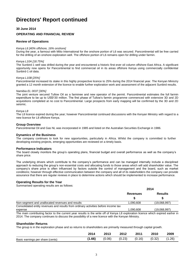## **30 June 2014**

### **OPERATING AND FINANCIAL REVIEW**

#### **Review of Operations**

#### *Kenya L6 [40% offshore, 16% onshore]*

During the year, a farmout with Milio International for the onshore portion of L6 was secured. Pancontinental will be free carried for the drilling of an onshore exploration well. The offshore portion of L6 remains open for drilling under farmin.

#### *Kenya L10A [18.75%]*

The Sunbird-1 well was drilled during the year and encountered a historic first-ever oil column offshore East Africa. A significant opportunity now opens for Pancontinental to find commercial oil in its areas offshore Kenya using commercially confidential Sunbird-1 oil data.

#### *Kenya L10B [25%]*

Pancontinental increased its stake in this highly prospective licence to 25% during the 2014 financial year. The Kenyan Ministry granted a 12 month extension of the licence to enable further exploration work and assessment of the adjacent Sunbird results.

#### *Namibia EL 0037 [30%]*

The joint venture secured Tullow Oil as a farminee and new operator of the permit. Pancontinental estimates the full farmin expenditure to be up to US\$130 million. The first phase of Tullow"s farmin programme commenced with extensive 3D and 2D acquisitions completed at no cost to Pancontinental. Large prospects from early mapping will be confirmed by the 3D and 2D seismic.

#### *Kenya L8*

The L8 licence expired during the year; however Pancontinental continued discussions with the Kenyan Ministry with regard to a new licence for L8 offshore Kenya.

#### **Group Overview**

Pancontinental Oil and Gas NL was incorporated in 1985 and listed on the Australian Securities Exchange in 1986.

#### **Dynamics of the Business**

The company continues to look for new opportunities, particularly in Africa. Whilst the company is committed to further developing existing projects, emerging opportunities are reviewed on a timely basis.

#### **Performance Indicators**

The board closely monitors the group"s operating plans, financial budget and overall performance as well as the company"s share price.

The underlying drivers which contribute to the company"s performance and can be managed internally include a disciplined approach to reducing the group"s non-essential costs and allocating funds to those areas which will add shareholder value. The company"s share price is often influenced by factors outside the control of management and the board, such as market conditions; however through effective communication between the company and all of its stakeholders the company can provide assurance that there are regular reviews in place to determine actions which should be implemented to increase performance.

#### **Operating Results for the Year**

Summarised operating results are as follows:

|                                                                                     |                 | 2014           |  |  |
|-------------------------------------------------------------------------------------|-----------------|----------------|--|--|
|                                                                                     | <b>Revenues</b> | <b>Results</b> |  |  |
|                                                                                     |                 |                |  |  |
| Non-segment and unallocated revenues and results                                    | 1.090.608       | (19.068.997)   |  |  |
| Consolidated entity revenues and results from ordinary activities before income tax |                 |                |  |  |
| expense                                                                             | 1.090.608       | (19,068,997)   |  |  |
|                                                                                     |                 |                |  |  |

The main contributing factor to the current year results is the write off of Kenya L8 exploration licence which expired earlier in 2014. The company continues to discuss the possibility of a new licence with the Kenyan Ministry.

### **Shareholder Returns**

The group is in the exploration phase and so returns to shareholders are primarily measured through capital growth.

|                                  | 2014   | 2013   | 2012   | 2011   | 2010   | 2009  |
|----------------------------------|--------|--------|--------|--------|--------|-------|
| Basic earnings per share (cents) | (1.66) | (0.06) | (0.23) | (0.16) | (0.32) | 1.26) |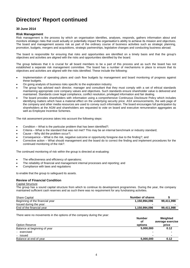# **30 June 2014**

#### **Risk Management**

Risk management is the process by which an organisation identifies, analyses, responds, gathers information about and monitors strategic risks that could actually or potentially impact the organisation"s ability to achieve its mission and objectives. The board and management assess risk as part of the ordinary course of business activities such as strategic planning, promotion, budgets, mergers and acquisitions, strategic partnerships, legislative changes and conducting business abroad.

The board is responsible for ensuring that risks and opportunities are identified on a timely basis and that the group's objectives and activities are aligned with the risks and opportunities identified by the board.

The group believes that it is crucial for all board members to be a part of this process and as such the board has not established a separate risk management committee. The board has a number of mechanisms in place to ensure that its objectives and activities are aligned with the risks identified. These include the following:

- Implementation of operating plans and cash flow budgets by management and board monitoring of progress against these budgets.
- On going analysis of business risks specific to the exploration industry.
- The group has advised each director, manager and consultant that they must comply with a set of ethical standards maintaining appropriate core company values and objectives. Such standards ensure shareholder value is delivered and maintained. Standards cover legal compliance, conflict resolution, privileged information and fair dealing.
- The board provides shareholders with information using a comprehensive Continuous Disclosure Policy which includes identifying matters which have a material effect on the underlying security price. ASX announcements, the web page of the company and other media resources are used to convey such information. The board encourages full participation by shareholders at the AGM and shareholders are requested to vote on board and executive remuneration aggregates as well as Employee Incentive Schemes.

The risk assessment process takes into account the following steps:

- Condition What is the particular problem that has been identified?;
- Criteria What is the standard that was not met? This may be an internal benchmark or industry standard;
- Cause Why did the problem occur?;
- Consequence What is the risk, negative outcome or opportunity foregone due to the finding?; and
- Corrective action What should management and the board do to correct the finding and implement procedures for the continued monitoring of the risk?.

The continued monitoring of risk within the group is directed at evaluating:

- The effectiveness and efficiency of operations;
- The reliability of financial and management internal processes and reporting; and
- Compliance with laws and regulations

to enable that the group to safeguard its assets.

### **Review of Financial Condition**

#### Capital Structure

The group has a sound capital structure from which to continue its development programmes. During the year, the company maintained sufficient cash reserves and as such there was no requirement for any fundraising activities.

| <b>Share Capital</b>            | Number of shares |            |
|---------------------------------|------------------|------------|
| Beginning of the financial year | 1.150.994.096    | 99.411.998 |
| Issued during the year:         |                  |            |
| End of the financial vear       | 1,150,994,096    | 99,411,998 |

There were no movements in the options of the company during the year:

| Option Reserve               |  | <b>Number</b><br>οt<br>options | Weighted<br>average exercise<br>price |
|------------------------------|--|--------------------------------|---------------------------------------|
| Balance at beginning of year |  | 5,000,000                      | 0.12                                  |
| - exercised                  |  |                                |                                       |
| - issued                     |  | $\blacksquare$                 | $\blacksquare$                        |
| Balance at end of year       |  | 5,000,000                      | 0.12                                  |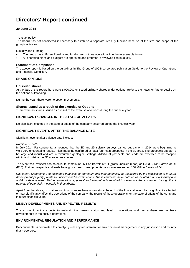# **30 June 2014**

#### Treasury policy

The board has not considered it necessary to establish a separate treasury function because of the size and scope of the group's activities.

Liquidity and Funding

- The group has sufficient liquidity and funding to continue operations into the foreseeable future.
- All operating plans and budgets are approved and progress is reviewed continuously.

#### **Statement of Compliance**

The above report is based on the guidelines in The Group of 100 Incorporated publication Guide to the Review of Operations and Financial Condition.

### **SHARE OPTIONS**

#### **Unissued shares**

At the date of this report there were 5,000,000 unissued ordinary shares under options. Refer to the notes for further details on the options outstanding.

During the year, there were no option movements.

#### **Shares issued as a result of the exercise of Options**

There were no shares issued as a result of the exercise of options during the financial year.

#### **SIGNIFICANT CHANGES IN THE STATE OF AFFAIRS**

No significant changes in the state of affairs of the company occurred during the financial year.

### **SIGNIFICANT EVENTS AFTER THE BALANCE DATE**

Significant events after balance date include:

#### *Namibia EL 0037*

In July 2014, Pancontinental announced that the 3D and 2D seismic surveys carried out earlier in 2014 were beginning to yield very encouraging results. Initial mapping confirmed at least four main prospects in the 3D area. The prospects appear to be large and robust and are in favourable geological settings. Additional prospects and leads are expected to be mapped within and outside the 3D area in due course.

The Albatross Prospect has potential to contain 422 Million Barrels of Oil (gross unrisked mean) or 1.093 Billion Barrels of Oil (P10). Further prospects and leads have gross mean risked potential resources exceeding 150 Million Barrels of Oil.

*Cautionary Statement: The estimated quantities of petroleum that may potentially be recovered by the application of a future development project(s) relate to undiscovered accumulations. These estimates have both an associated risk of discovery and a risk of development. Further exploration, appraisal and evaluation is required to determine the existence of a significant quantity of potentially moveable hydrocarbons.*

Apart from the above, no matters or circumstances have arisen since the end of the financial year which significantly affected or may significantly affect the operations of the company, the results of those operations, or the state of affairs of the company in future financial years.

### **LIKELY DEVELOPMENTS AND EXPECTED RESULTS**

The economic entity expects to maintain the present status and level of operations and hence there are no likely developments in the entity's operations.

### **ENVIRONMENTAL REGULATION AND PERFORMANCE**

Pancontinental is committed to complying with any requirement for environmental management in any jurisdiction and country that it operates.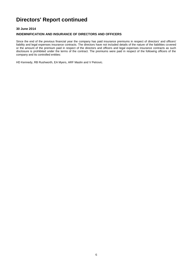# **30 June 2014**

# **INDEMNIFICATION AND INSURANCE OF DIRECTORS AND OFFICERS**

Since the end of the previous financial year the company has paid insurance premiums in respect of directors' and officers' liability and legal expenses insurance contracts. The directors have not included details of the nature of the liabilities covered or the amount of the premium paid in respect of the directors and officers and legal expenses insurance contracts as such disclosure is prohibited under the terms of the contract. The premiums were paid in respect of the following officers of the company and its controlled entities:

HD Kennedy, RB Rushworth, EA Myers, ARF Maslin and V Petrovic.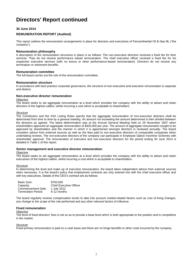# **30 June 2014**

### **REMUNERATION REPORT (Audited)**

This report outlines the remuneration arrangements in place for directors and executives of Pancontinental Oil & Gas NL ("the company").

#### **Remuneration philosophy**

A description of the remuneration structures in place is as follows: The non-executive directors received a fixed fee for their services. They do not receive performance based remuneration. The chief executive officer received a fixed fee for his respective executive services (with no bonus or other performance-based remuneration). Directors do not receive any termination or retirement benefits.

#### **Remuneration committee**

The full board carries out the role of the remuneration committee.

#### **Remuneration structure**

In accordance with best practice corporate governance, the structure of non-executive and executive remuneration is separate and distinct.

# **Non-executive director remuneration**

#### **Objective**

The board seeks to set aggregate remuneration at a level which provides the company with the ability to attract and retain directors of the highest calibre, whilst incurring a cost which is acceptable to shareholders.

#### **Structure**

The Constitution and the ASX Listing Rules specify that the aggregate remuneration of non-executive directors shall be determined from time to time by a general meeting. An amount not exceeding the amount determined is then divided between the directors as agreed. The latest determination was at the Annual General Meeting held on 29 November 2007 when shareholders approved an aggregate remuneration of \$400,000 per year. The amount of aggregate remuneration sought to be approved by shareholders and the manner in which it is apportioned amongst directors is reviewed annually. The board considers advice from external sources as well as the fees paid to non-executive directors of comparable companies when undertaking reviews. The non-executive directors of the company can participate in Employee Option Incentive Schemes with shareholder approval. The remuneration of executive and non-executive directors for the period ending 30 June 2014 is detailed in Table 1 of this report.

#### **Senior management and executive director remuneration**

#### **Objective**

The board seeks to set aggregate remuneration at a level which provides the company with the ability to attract and retain executives of the highest calibre, whilst incurring a cost which is acceptable to shareholders.

#### **Structure**

In determining the level and make up of executive remuneration, the board takes independent advice from external sources when necessary. It is the board's policy that employment contracts are only entered into with the chief executive officer and with key executives. Details of the CEO"s contract are as follows:

| Basic Sum:          | \$750,000                      |
|---------------------|--------------------------------|
| Capacity:           | <b>Chief Executive Officer</b> |
| Commencement Date:  | 1 July 2012                    |
| Termination Period: | 6-12 months                    |

The board regularly reviews compensation levels to take into account market-related factors such as cost of living changes, any change to the scope of the role performed and any other relevant factors of influence.

#### **Fixed remuneration**

#### **Objective**

The level of fixed directors" fees is set so as to provide a base level which is both appropriate to the position and is competitive in the market.

#### **Structure**

Fixed primary remuneration is paid on a cash basis and there are no fringe benefits or other costs incurred by the company.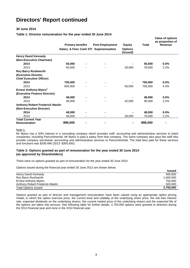# **30 June 2014**

**Table 1: Director remuneration for the year ended 30 June 2014**

|                                                  | <b>Primary benefits</b> | <b>Post Employment</b><br>Salary & Fees Cash STI Superannuation | <b>Equity</b><br><b>Options</b><br>(Issued) | <b>Total</b> | <b>Value of options</b><br>as proportion of<br><b>Revenue</b> |
|--------------------------------------------------|-------------------------|-----------------------------------------------------------------|---------------------------------------------|--------------|---------------------------------------------------------------|
| <b>Henry David Kennedy</b>                       |                         |                                                                 |                                             |              |                                                               |
| (Non-Executive Chairman)                         |                         |                                                                 |                                             |              |                                                               |
| 2014                                             | 50,000                  |                                                                 |                                             | 50,000       | $0.0\%$                                                       |
| 2013                                             | 50,000                  |                                                                 | 28,000                                      | 78,000       | 2.2%                                                          |
| <b>Roy Barry Rushworth</b>                       |                         |                                                                 |                                             |              |                                                               |
| (Executive Director,                             |                         |                                                                 |                                             |              |                                                               |
| <b>Chief Executive Officer)</b>                  |                         |                                                                 |                                             |              |                                                               |
| 2014                                             | 750,000                 |                                                                 |                                             | 750,000      | $0.0\%$                                                       |
| 2013                                             | 650,000                 |                                                                 | 56,000                                      | 706,000      | 4.3%                                                          |
| Ernest Anthony Myers <sup>1</sup>                |                         |                                                                 |                                             |              |                                                               |
| (Executive Finance Director)                     |                         |                                                                 |                                             |              |                                                               |
| 2014                                             | 48,000                  |                                                                 |                                             | 48,000       | $0.0\%$                                                       |
| 2013                                             | 48,000                  |                                                                 | 42,000                                      | 90,000       | 3.2%                                                          |
| <b>Anthony Robert Frederick Maslin</b>           |                         |                                                                 |                                             |              |                                                               |
| (Non-Executive Director)                         |                         |                                                                 |                                             |              |                                                               |
| 2014                                             | 48,000                  |                                                                 |                                             | 48,000       | $0.0\%$                                                       |
| 2013                                             | 48,000                  |                                                                 | 28,000                                      | 76,000       | 2.2%                                                          |
| <b>Total Current Year</b><br><b>Remuneration</b> | 896,000                 |                                                                 |                                             | 896,000      |                                                               |

Note 1.

Mr Myers has a 50% interest in a consulting company which provides staff, accounting and administrative services to listed companies, including Pancontinental. Mr Myers is paid a salary from that company. The same company also pays the staff who provide company secretarial, accounting and administrative services to Pancontinental. The total fees paid for these services and functions was \$338,496 (2013: \$305,400).

### **Table 2: Options granted as part of remuneration for the year ended 30 June 2014 (as approved by Shareholders)**

There were no options granted as part of remuneration for the year ended 30 June 2014

Options issued during the financial year ended 30 June 2013 are shown below:

|                                 | <b>Issued</b> |
|---------------------------------|---------------|
| Henry David Kennedy             | 500,000       |
| Roy Barry Rushworth             | 1.000.000     |
| <b>Ernest Anthony Myers</b>     | 750,000       |
| Anthony Robert Frederick Maslin | 500,000       |
| <b>Total Options Issued</b>     | 2,750,000     |

Options granted as part of director and management remuneration have been valued using an appropriate option pricing model, in which the option exercise price, the current level and volatility of the underlying share price, the risk-free interest rate, expected dividends on the underlying shares, the current market price of the underlying shares and the expected life of the options are taken into account. See following table for further details. 2,750,000 options were granted to directors during the 2013 financial year and none in the 2014 financial year.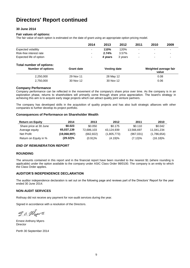# **30 June 2014**

### **Fair values of options:**

The fair value of each option is estimated on the date of grant using an appropriate option pricing model.

|                            | 2014 | 2013    | 2012    | 2011                     | 2010 | 2009 |
|----------------------------|------|---------|---------|--------------------------|------|------|
| <b>Expected volatility</b> | -    | 110%    | 120%    | $\overline{\phantom{0}}$ |      | -    |
| Risk-free interest rate    |      | 2.74%   | 3.57%   | $\overline{\phantom{0}}$ | -    | -    |
| Expected life of option    | ۰.   | 4 vears | 3 years | $\sim$                   |      | -    |

### **Total number of options:**

| Number of options | <b>Grant date</b> | <b>Vesting date</b> | Weighted average fair<br>value |
|-------------------|-------------------|---------------------|--------------------------------|
| 2.250.000         | 29 Nov 11         | 28 May 12           | 0.08                           |
| 2,750,000         | 30 Nov 12         | 30 Nov 12           | 0.06                           |

#### **Company Performance**

Company performance can be reflected in the movement of the company's share price over time. As the company is in an exploration phase, returns to shareholders will primarily come through share price appreciation. The board"s strategy in achieving this aim is to acquire early stage projects which can attract quality joint venture partners.

The company has developed skills in the acquisition of quality projects and has also built strategic alliances with other companies to further develop its project portfolio.

#### **Consequences of Performance on Shareholder Wealth**

| <b>Return on Equity</b> | 2014         | 2013       | 2012        | 2011       | 2010        |
|-------------------------|--------------|------------|-------------|------------|-------------|
| Share price at 30 June  | \$0.023      | \$0.050    | \$0.175     | \$0.110    | \$0.042     |
| Average equity          | 65,037,139   | 72,686,103 | 43.124.939  | 13.566.697 | 11.041.234  |
| Net Profit              | (19.068.997) | (662, 822) | (1,805,773) | (967,031)  | (1,786,654) |
| Return on Equity in %   | $(29.32)\%$  | $(0.91)\%$ | (4.19)%     | $(7.13)\%$ | $(16.18)\%$ |

### *END OF REMUNERATION REPORT*

### **ROUNDING**

The amounts contained in this report and in the financial report have been rounded to the nearest \$1 (where rounding is applicable) under the option available to the company under ASIC Class Order 98/0100. The company is an entity to which the Class Order applies.

### **AUDITOR'S INDEPENDENCE DECLARATION**

The auditor independence declaration is set out on the following page and reviews part of the Directors" Report for the year ended 30 June 2014.

### **NON-AUDIT SERVICES**

Rothsay did not receive any payment for non-audit services during the year.

Signed in accordance with a resolution of the Directors.

S.a. Mars

Ernest Anthony Myers Director

Perth 30 September 2014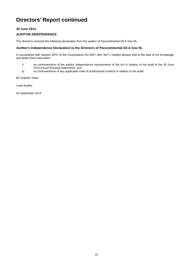# **30 June 2014**

# **AUDITOR INDEPENDENCE**

The directors received the following declaration from the auditor of Pancontinental Oil & Gas NL:

# **Auditor's Independence Declaration to the Directors of Pancontinental Oil & Gas NL**

In accordance with Section 307C of the Corporations Act 2001 (the "Act") I hereby declare that to the best of my knowledge and belief there have been:

- i) no contraventions of the auditor independence requirements of the Act in relation to the audit of the 30 June 2014 annual financial statements; and
- ii) no contraventions of any applicable code of professional conduct in relation to the audit.

Mr Graham Swan

Lead Auditor

30 September 2014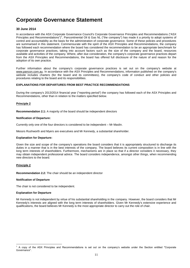## **30 June 2014**

In accordance with the ASX Corporate Governance Council's Corporate Governance Principles and Recommendations ("ASX Principles and Recommendations")<sup>1</sup>, Pancontinental Oil & Gas NL ("the company") has made it a priority to adopt systems of control and accountability as the basis for the administration of corporate governance. Some of these policies and procedures are summarised in this statement. Commensurate with the spirit of the ASX Principles and Recommendations, the company has followed each recommendation where the board has considered the recommendation to be an appropriate benchmark for corporate governance practices, taking into account factors such as the size of the company and the board, resources available and activities of the company. Where, after due consideration, the company's corporate governance practices depart from the ASX Principles and Recommendations, the board has offered full disclosure of the nature of and reason for the adoption of its own practice.

Further information about the company's corporate governance practices is set out on the company's website at www.pancon.com.au. In accordance with the ASX Principles and Recommendations, information published on the company's website includes charters (for the board and its committees), the company's code of conduct and other policies and procedures relating to the board and its responsibilities.

#### **EXPLANATIONS FOR DEPARTURES FROM BEST PRACTICE RECOMMENDATIONS**

During the company's 2013/2014 financial year ("reporting period") the company has followed each of the ASX Principles and Recommendations, other than in relation to the matters specified below.

### **Principle 2**

**Recommendation 2.1:** A majority of the board should be independent directors

#### **Notification of Departure:**

Currently only one of the four directors is considered to be independent – Mr Maslin.

Messrs Rushworth and Myers are executives and Mr Kennedy, a substantial shareholder.

#### **Explanation for Departure:**

Given the size and scope of the company's operations the board considers that it is appropriately structured to discharge its duties in a manner that is in the best interests of the company. The board believes its current composition is in line with the long term interests of shareholders. Furthermore, mechanisms are in place so that if a director considers it necessary, they may obtain independent professional advice. The board considers independence, amongst other things, when recommending new directors to the board.

#### **Principle 2**

**Recommendation 2.2:** The chair should be an independent director

#### **Notification of Departure**

The chair is not considered to be independent.

#### **Explanation for Departure**

Mr Kennedy is not independent by virtue of his substantial shareholding in the company. However, the board considers that Mr Kennedy's interests are aligned with the long term interests of shareholders. Given Mr Kennedy's extensive experience and qualifications, the board believes Mr Kennedy is the most appropriate director to carry out the role of chair.

<sup>1</sup> <sup>1</sup> A copy of the ASX Principles and Recommendations is set out on the company's website under the Section entitled "Corporate Governance".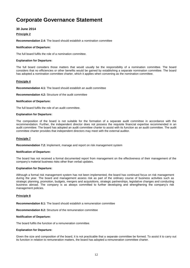## **30 June 2014**

#### **Principle 2**

**Recommendation 2.4:** The board should establish a nomination committee

#### **Notification of Departure:**

The full board fulfils the role of a nomination committee.

#### **Explanation for Departure:**

The full board considers those matters that would usually be the responsibility of a nomination committee. The board considers that no efficiencies or other benefits would be gained by establishing a separate nomination committee. The board has adopted a nomination committee charter, which it applies when convening as the nomination committee.

#### **Principle 4**

**Recommendation 4.1:** The board should establish an audit committee

**Recommendation 4.2:** Structure of the audit committee

#### **Notification of Departure:**

The full board fulfils the role of an audit committee.

### **Explanation for Departure:**

The composition of the board is not suitable for the formation of a separate audit committee in accordance with the recommendation. Further, the independent director does not possess the requisite financial expertise recommended in an audit committee. The board has adopted an audit committee charter to assist with its function as an audit committee. The audit committee charter provides that independent directors may meet with the external auditor.

### **Principle 7**

**Recommendation 7.2:** Implement, manage and report on risk management system

#### **Notification of Departure:**

The board has not received a formal documented report from management on the effectiveness of their management of the company"s material business risks other than verbal updates.

#### **Explanation for Departure:**

Although a formal risk management system has not been implemented, the board has continued focus on risk management during the year. The board and management assess risk as part of the ordinary course of business activities such as strategic planning, promotion, budgets, mergers and acquisitions, strategic partnerships, legislative changes and conducting business abroad. The company is as always committed to further developing and strengthening the company's risk management policies.

#### **Principle 8**

**Recommendation 8.1:** The board should establish a remuneration committee

**Recommendation 8.2:** Structure of the remuneration committee

#### **Notification of Departure:**

The board fulfils the function of a remuneration committee.

#### **Explanation for Departure:**

Given the size and composition of the board, it is not practicable that a separate committee be formed. To assist it to carry out its function in relation to remuneration matters, the board has adopted a remuneration committee charter.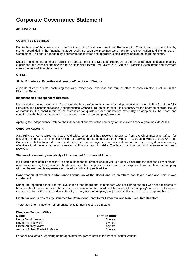### **30 June 2014**

### **COMMITTEE MEETINGS**

Due to the size of the current board, the functions of the Nomination, Audit and Remuneration Committees were carried out by the full board during the financial year. As such, no separate meetings were held for the Nomination and Remuneration Committees. The board agenda may incorporate these items and appropriate discussions held at the board meetings.

Details of each of the director's qualifications are set out in the Directors" Report. All of the directors have substantial industry experience and consider themselves to be financially literate. Mr Myers is a Certified Practising Accountant and therefore meets the tests of financial expertise.

#### **OTHER**

#### **Skills, Experience, Expertise and term of office of each Director**

A profile of each director containing the skills, experience, expertise and term of office of each director is set out in the Directors' Report.

#### **Identification of Independent Directors**

In considering the independence of directors, the board refers to the criteria for independence as set out in Box 2.1 of the ASX Principles and Recommendations ("Independence Criteria"). To the extent that it is necessary for the board to consider issues of materiality, the board refers to the thresholds for qualitative and quantitative materiality as adopted by the board and contained in the board charter, which is disclosed in full on the company"s website.

Applying the Independence Criteria, the independent director of the company for the current financial year was Mr Maslin.

#### **Corporate Reporting**

ASX Principle 7.3 requires the board to disclose whether it has received assurance from the Chief Executive Officer (or equivalent) and the Chief Financial Officer (or equivalent) that the declaration provided in accordance with section 295A of the Corporations Act is founded on a sound system of risk management and internal control and that the system is operating effectively in all material respects in relation to financial reporting risks. The board confirms that such assurance has been received.

#### **Statement concerning availability of Independent Professional Advice**

If a director considers it necessary to obtain independent professional advice to properly discharge the responsibility of his/her office as a director, then, provided the director first obtains approval for incurring such expense from the chair, the company will pay the reasonable expenses associated with obtaining such advice.

#### **Confirmation of whether performance Evaluation of the Board and its members has taken place and how it was conducted**

During the reporting period a formal evaluation of the board and its members was not carried out as it was not considered to be a beneficial procedure given the size and composition of the board and the nature of the company's operations. However, the composition of the board and its suitability to carry out the company's objectives is discussed on an as-required basis.

#### **Existence and Terms of any Schemes for Retirement Benefits for Executive and Non-Executive Directors**

There are no termination or retirement benefits for non-executive directors.

| Directors' Terms in Office      |                |
|---------------------------------|----------------|
| <b>Name</b>                     | Term in office |
| Henry David Kennedy             | 15 years       |
| Roy Barry Rushworth             | 9 years        |
| <b>Ernest Anthony Myers</b>     | 5 years        |
| Anthony Robert Frederick Maslin | 3 years        |

For additional details regarding board appointments, please refer to the Pancontinental website.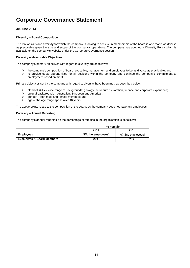# **30 June 2014**

#### **Diversity – Board Composition**

The mix of skills and diversity for which the company is looking to achieve in membership of the board is one that is as diverse as practicable given the size and scope of the company"s operations. The company has adopted a Diversity Policy which is available on the company"s website under the Corporate Governance section.

#### **Diversity – Measurable Objectives**

The company's primary objectives with regard to diversity are as follows:

- the company"s composition of board, executive, management and employees to be as diverse as practicable; and
- $\triangleright$  to provide equal opportunities for all positions within the company and continue the company's commitment to employment based on merit.

Primary objectives set by the company with regard to diversity have been met, as described below:

- $\triangleright$  blend of skills wide range of backgrounds; geology, petroleum exploration, finance and corporate experience;
- $\ge$  cultural backgrounds Australian, European and American;<br>  $\ge$  gender both male and female members: and
- $\ge$  gender both male and female members; and  $\ge$  age the age range spans over 40 years.
- age the age range spans over 40 years.

The above points relate to the composition of the board, as the company does not have any employees.

#### **Diversity – Annual Reporting**

The company"s annual reporting on the percentage of females in the organisation is as follows:

|                                       | % Female           |                    |  |
|---------------------------------------|--------------------|--------------------|--|
|                                       | 2014               | 2013               |  |
| <b>Employees</b>                      | N/A [no employees] | N/A [no employees] |  |
| <b>Executives &amp; Board Members</b> | 20%                | 20%                |  |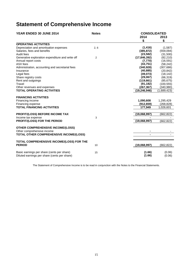# **Statement of Comprehensive Income**

| YEAR ENDED 30 JUNE 2014                                               | <b>Notes</b> | <b>CONSOLIDATED</b> |             |
|-----------------------------------------------------------------------|--------------|---------------------|-------------|
|                                                                       |              | 2014                | 2013        |
|                                                                       |              | \$                  | \$          |
| <b>OPERATING ACTIVITIES</b>                                           |              |                     |             |
| Depreciation and amortisation expenses                                | 2, 6         | (1, 416)            | (1,587)     |
| Salaries, fees and benefits                                           |              | (385, 872)          | (559,094)   |
| Audit fees                                                            |              | (23, 582)           | (31,500)    |
| Generative exploration expenditure and write off                      | 2            | (17, 846, 392)      | (82, 210)   |
| Annual report costs                                                   |              | (7, 770)            | (16, 591)   |
| ASX fees                                                              |              | (43, 751)           | (58, 242)   |
| Administration, accounting and secretarial fees                       |              | (340, 928)          | (307, 686)  |
| Insurance                                                             |              | (40, 885)           | (20, 842)   |
| Legal fees                                                            |              | (49, 073)           | (18, 142)   |
| Share registry costs                                                  |              | (29,067)            | (66, 319)   |
| Rent and outgoings                                                    |              | (119, 661)          | (85, 675)   |
| Travel                                                                |              | (91, 182)           | (100, 555)  |
| Other revenues and expenses                                           |              | (267, 367)          | (340, 980)  |
| <b>TOTAL OPERATING ACTIVITIES</b>                                     |              | (19, 246, 946)      | (1,689,423) |
| <b>FINANCING ACTIVITIES</b>                                           |              |                     |             |
| Financing income                                                      |              | 1,090,608           | 1,295,429   |
| Financing expense                                                     |              | (912, 659)          | (268,828)   |
| <b>TOTAL FINANCING ACTIVITIES</b>                                     |              | 177,949             | 1,026,601   |
|                                                                       |              |                     |             |
| <b>PROFIT/(LOSS) BEFORE INCOME TAX</b>                                |              | (19,068,997)        | (662,822)   |
| Income tax expense                                                    | 3            |                     |             |
| PROFIT/(LOSS) FOR THE PERIOD                                          |              | (19,068,997)        | (662, 822)  |
|                                                                       |              |                     |             |
| <b>OTHER COMPREHENSIVE INCOME/(LOSS)</b>                              |              |                     |             |
| Other comprehensive income<br>TOTAL OTHER COMPREHENSIVE INCOME/(LOSS) |              |                     |             |
|                                                                       |              |                     |             |
| TOTAL COMPREHENSIVE INCOME/(LOSS) FOR THE                             |              |                     |             |
| <b>PERIOD</b>                                                         | 10           | (19,068,997)        | (662, 822)  |
|                                                                       |              |                     |             |
| Basic earnings per share (cents per share)                            | 15           | (1.66)              | (0.06)      |
| Diluted earnings per share (cents per share)                          |              | (1.66)              | (0.06)      |

The Statement of Comprehensive Income is to be read in conjunction with the Notes to the Financial Statements.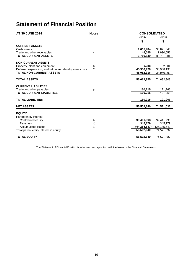# **Statement of Financial Position**

| <b>AT 30 JUNE 2014</b>                                 | <b>Notes</b>   | <b>CONSOLIDATED</b> |                |
|--------------------------------------------------------|----------------|---------------------|----------------|
|                                                        |                | 2014                | 2013           |
|                                                        |                | \$                  | \$             |
| <b>CURRENT ASSETS</b>                                  |                |                     |                |
| Cash assets                                            |                | 9,665,484           | 33,821,848     |
| Trade and other receivables                            | 4              | 45,055              | 1,930,056      |
| <b>TOTAL CURRENT ASSETS</b>                            |                | 9,710,539           | 35.751.904     |
| <b>NON-CURRENT ASSETS</b>                              |                |                     |                |
| Property, plant and equipment                          | 6              | 1,388               | 2.804          |
| Deferred exploration, evaluation and development costs | $\overline{7}$ | 45,950,928          | 38,938,195     |
| <b>TOTAL NON-CURRENT ASSETS</b>                        |                | 45,952,316          | 38.940.999     |
| <b>TOTAL ASSETS</b>                                    |                | 55,662,855          | 74,692,903     |
|                                                        |                |                     |                |
| <b>CURRENT LIABILITIES</b>                             |                |                     |                |
| Trade and other payables                               | 8              | 160,215             | 121,266        |
| <b>TOTAL CURRENT LIABILITIES</b>                       |                | 160,215             | 121,266        |
| <b>TOTAL LIABILITIES</b>                               |                | 160,215             | 121,266        |
| <b>NET ASSETS</b>                                      |                | 55,502,640          | 74,571,637     |
|                                                        |                |                     |                |
| <b>EQUITY</b>                                          |                |                     |                |
| Parent entity interest                                 |                |                     |                |
| Contributed equity                                     | 9a             | 99,411,998          | 99,411,998     |
| Reserves                                               | 10             | 345.179             | 345,179        |
| Accumulated losses                                     | 10             | (44,254,537)        | (25, 185, 540) |
| Total parent entity interest in equity                 |                | 55,502,640          | 74,571,637     |
| <b>TOTAL EQUITY</b>                                    |                | 55,502,640          | 74,571,637     |

The Statement of Financial Position is to be read in conjunction with the Notes to the Financial Statements.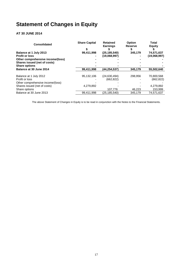# **Statement of Changes in Equity**

# **AT 30 JUNE 2014**

| <b>Consolidated</b>               | <b>Share Capital</b> | <b>Retained</b><br><b>Earnings</b> | <b>Option</b><br><b>Reserve</b> | Total<br>Equity |
|-----------------------------------|----------------------|------------------------------------|---------------------------------|-----------------|
|                                   |                      |                                    |                                 |                 |
| Balance at 1 July 2013            | 99,411,998           | (25, 185, 540)                     | 345,179                         | 74,571,637      |
| <b>Profit or loss</b>             |                      | (19,068,997)                       |                                 | (19,068,997)    |
| Other comprehensive income/(loss) |                      |                                    |                                 |                 |
| Shares issued (net of costs)      |                      |                                    |                                 |                 |
| <b>Share options</b>              |                      |                                    |                                 |                 |
| Balance at 30 June 2014           | 99,411,998           | (44,254,537)                       | 345,179                         | 55,502,640      |
| Balance at 1 July 2012            | 95.132.106           | (24, 630, 494)                     | 298.956                         | 70,800,568      |
| Profit or loss                    |                      | (662, 822)                         |                                 | (662, 822)      |
| Other comprehensive income/(loss) |                      |                                    |                                 |                 |
| Shares issued (net of costs)      | 4.279.892            |                                    |                                 | 4,279,892       |
| Share options                     |                      | 107.776                            | 46,223                          | 153,999         |
| Balance at 30 June 2013           | 99.411.998           | (25.185.540)                       | 345.179                         | 74.571.637      |

The above Statement of Changes in Equity is to be read in conjunction with the Notes to the Financial Statements.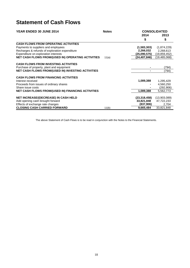# **Statement of Cash Flows**

| YEAR ENDED 30 JUNE 2014                                   | <b>Notes</b> |                | <b>CONSOLIDATED</b> |
|-----------------------------------------------------------|--------------|----------------|---------------------|
|                                                           |              | 2014           | 2013                |
|                                                           |              | \$             | \$                  |
| <b>CASH FLOWS FROM OPERATING ACTIVITIES</b>               |              |                |                     |
| Payments to suppliers and employees                       |              | (1,583,303)    | (1,874,229)         |
| Recharges & refunds of exploration expenditure            |              | 2,266,032      | 2,268,613           |
| Expenditure on exploration interests                      |              | (25,090,575)   | (19, 859, 452)      |
| <b>NET CASH FLOWS FROM/(USED IN) OPERATING ACTIVITIES</b> | 11(a)        | (24, 407, 846) | (19, 465, 068)      |
| <b>CASH FLOWS FROM INVESTING ACTIVITIES</b>               |              |                |                     |
| Purchase of property, plant and equipment                 |              |                | (794)               |
| <b>NET CASH FLOWS FROM/(USED IN) INVESTING ACTIVITIES</b> |              |                | (794)               |
|                                                           |              |                |                     |
| <b>CASH FLOWS FROM FINANCING ACTIVITIES</b>               |              |                |                     |
| Interest received                                         |              | 1,089,388      | 1,295,429           |
| Proceeds from issues of ordinary shares                   |              |                | 4,560,250           |
| Share issue costs                                         |              |                | (292,906)           |
| <b>NET CASH FLOWS FROM/(USED IN) FINANCING ACTIVITIES</b> |              | 1,089,388      | 5,562,773           |
|                                                           |              |                |                     |
| <b>NET INCREASE/(DECREASE) IN CASH HELD</b>               |              | (23, 318, 458) | (13,903,089)        |
| Add opening cash brought forward                          |              | 33,821,848     | 47,722,233          |
| Effects of exchange rate changes                          |              | (837,906)      | 2,704               |
| <b>CLOSING CASH CARRIED FORWARD</b>                       | 11(b)        | 9,665,484      | 33,821,848          |

The above Statement of Cash Flows is to be read in conjunction with the Notes to the Financial Statements.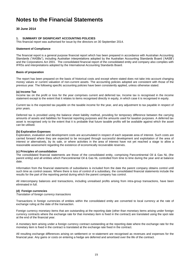# **30 June 2014**

### **1. SUMMARY OF SIGNIFICANT ACCOUNTING POLICIES**

This financial report was authorised for issue by the directors on 30 September 2014.

#### **Statement of Compliance**

The financial report is a general purpose financial report which has been prepared in accordance with Australian Accounting Standards ("AASBs"), including Australian interpretations adopted by the Australian Accounting Standards Board ("AASB") and the Corporations Act 2001. The consolidated financial report of the consolidated entity and company also complies with IFRSs and interpretations adopted by the International Accounting Standards Board.

#### **Basis of preparation**

The report has been prepared on the basis of historical costs and except where stated does not take into account changing money values or current valuation of non-current assets. The accounting policies adopted are consistent with those of the previous year. The following specific accounting policies have been consistently applied, unless otherwise stated.

#### **(a) Income Tax**

Income tax on the profit or loss for the year comprises current and deferred tax. Income tax is recognised in the income statement except to the extent that it relates to items recognised directly in equity, in which case it is recognised in equity.

Current tax is the expected tax payable on the taxable income for the year, and any adjustment to tax payable in respect of prior years.

Deferred tax is provided using the balance sheet liability method, providing for temporary difference between the carrying amounts of assets and liabilities for financial reporting purposes and the amounts used for taxation purposes. A deferred tax asset is recognised only to the extent that it is probable that future taxable profits will be available against which the asset can be utilised.

#### **(b) Exploration Expenses**

Exploration, evaluation and development costs are accumulated in respect of each separate area of interest. Such costs are carried forward where they are expected to be recouped through successful development and exploitation of the area of interest or alternatively, by its sale, or where activities in the area of interest have not yet reached a stage to allow a reasonable assessment regarding the existence of economically recoverable reserves.

#### **(c) Principles of consolidation**

The consolidated financial statements are those of the consolidated entity, comprising Pancontinental Oil & Gas NL (the parent entity) and all entities which Pancontinental Oil & Gas NL controlled from time to time during the year and at balance date.

Information from the financial statements of subsidiaries is included from the date the parent company obtains control until such time as control ceases. Where there is loss of control of a subsidiary, the consolidated financial statements include the results for the part of the reporting period during which the parent company has control.

All intercompany balances and transactions, including unrealised profits arising from intra-group transactions, have been eliminated in full.

#### **(d) Foreign currencies**

*Translation of foreign currency transactions*

Transactions in foreign currencies of entities within the consolidated entity are converted to local currency at the rate of exchange ruling at the date of the transaction.

Foreign currency monetary items that are outstanding at the reporting date (other than monetary items arising under foreign currency contracts where the exchange rate for that monetary item is fixed in the contract) are translated using the spot rate at the end of the financial year.

A monetary item arising under a foreign currency contract outstanding at the reporting date where the exchange rate for the monetary item is fixed in the contract is translated at the exchange rate fixed in the contract.

All resulting exchange differences arising on settlement or re-statement are recognised as revenues and expenses for the financial year. Any gains or costs on entering a hedge are deferred and amortised over the life of the contract.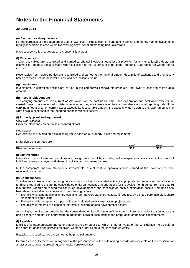# **30 June 2014**

#### **(e) Cash and cash equivalents**

For the purposes of the Statement of Cash Flows, cash includes cash on hand and in banks, and money market investments readily convertible to cash within two working days, net of outstanding bank overdrafts.

Interest expense is charged as an expense as it accrues.

#### **(f) Receivables**

Trade receivables are recognised and carried at original invoice amount less a provision for any uncollectible debts. An estimate for doubtful debts is made when collection of the full amount is no longer probable. Bad debts are written-off as incurred.

Receivables from related parties are recognised and carried at the nominal amount due. Bills of exchange and promissory notes are measured at the lower of cost and net realisable value.

#### **(g) Investments**

Investments in controlled entities are carried in the company"s financial statements at the lower of cost and recoverable amount.

#### **(h) Recoverable Amount**

The carrying amounts of non-current assets valued on the cost basis, other than exploration and evaluation expenditure carried forward are reviewed to determine whether they are in excess of their recoverable amount at reporting date. If the carrying amount of a non-current asset exceeds its recoverable amount, the asset is written down to the lower amount. The write down is expensed in the reporting period in which it occurs.

#### **(i) Property, plant and equipment**

*Cost and valuation*

Property, plant and equipment is measured at cost.

#### *Depreciation*

Depreciation is provided on a diminishing value basis on all property, plant and equipment.

Major depreciation rates are:

|                      | 2014 | 2013 |
|----------------------|------|------|
| Plant and equipment: | 30%  | 30%  |

#### **(j) Joint ventures**

Interests in the joint venture operations are brought to account by including in the respective classifications, the share of individual assets employed and share of liabilities and expenses incurred.

In the company"s financial statements, investments in joint venture operations were carried at the lower of cost and recoverable amount.

#### **(k) Going concern**

The directors consider that the going concern basis for the consolidated entity is appropriate and recognise that additional funding is required to ensure the consolidated entity can continue its operations for the twelve month period from the date of this financial report and to fund the continued development of the consolidated entity"s exploration assets. This basis has been determined after consideration of the following factors:

- The ability to issue additional share capital under the Corporations Act 2001, if required, by a share purchase plan, share placement or rights issue;
- The option of farming out all or part of the consolidated entity"s exploration projects; and
- The ability, if required to dispose of interests in exploration and development assets.

Accordingly, the directors believe that the consolidated entity will obtain sufficient cash inflows to enable it to continue as a going concern and that it is appropriate to adopt that basis of accounting in the preparation of the financial statements.

#### **(l) Payables**

Liabilities for trade creditors and other amounts are carried at cost which is the fair value of the consideration to be paid in the future for goods and services received, whether or not billed to the consolidated entity.

Payables to related parties are carried at the principal amount.

Deferred cash settlements are recognised at the present value of the outstanding consideration payable on the acquisition of an asset discounted at prevailing commercial borrowing rates.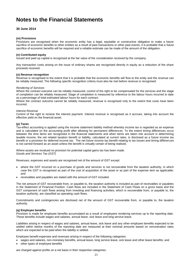# **30 June 2014**

#### **(m) Provisions**

Provisions are recognised when the economic entity has a legal, equitable or constructive obligation to make a future sacrifice of economic benefits to other entities as a result of past transactions or other past events, it is probable that a future sacrifice of economic benefits will be required and a reliable estimate can be made of the amount of the obligation.

#### **(n) Contributed equity**

Issued and paid up capital is recognised at the fair value of the consideration received by the company.

Any transaction costs arising on the issue of ordinary shares are recognised directly in equity as a reduction of the share proceeds received.

#### **(o) Revenue recognition**

Revenue is recognised to the extent that it is probable that the economic benefits will flow to the entity and the revenue can be reliably measured. The following specific recognition criteria must also be met before revenue is recognised:

#### *Rendering of Services*

Where the contract outcome can be reliably measured, control of the right to be compensated for the services and the stage of completion can be reliably measured. Stage of completion is measured by reference to the labour hours incurred to date as a percentage of total estimated labour hours for each contract.

Where the contract outcome cannot be reliably measured, revenue is recognised only to the extent that costs have been incurred.

#### *Interest Revenue*

Control of the right to receive the interest payment. Interest revenue is recognised as it accrues, taking into account the effective yield on the financial asset.

#### **(p) Taxes**

Tax-effect accounting is applied using the income statement liability method whereby income tax is regarded as an expense and is calculated on the accounting profit after allowing for permanent differences. To the extent timing differences occur between the time items are recognised in the financial statements and when items are taken into account in determining taxable income, the net related taxation benefit or liability, calculated at current rates, is disclosed as a future income tax benefit or a provision for deferred income tax. The net future income tax benefit relating to tax losses and timing differences is not carried forward as an asset unless the benefit is virtually certain of being realised.

Where assets are revalued no provision for potential capital gains tax has been made. *Goods and Services Tax (GST)*

Revenues, expenses and assets are recognised net of the amount of GST except:

- where the GST incurred on a purchase of goods and services is not recoverable from the taxation authority, in which case the GST is recognised as part of the cost of acquisition of the asset or as part of the expense item as applicable; and
- receivables and payables are stated with the amount of GST included.

The net amount of GST recoverable from, or payable to, the taxation authority is included as part of receivables or payables in the Statement of Financial Position. Cash flows are included in the Statement of Cash Flows on a gross basis and the GST component of cash flows arising from investing and financing activities, which is recoverable from, or payable to, the taxation authority, are classified as operating cash flows.

Commitments and contingencies are disclosed net of the amount of GST recoverable from, or payable to, the taxation authority.

#### **(q) Employee benefits**

Provision is made for employee benefits accumulated as a result of employees rendering services up to the reporting date. These benefits include wages and salaries, annual leave, sick leave and long service leave.

Liabilities arising in respect of wages and salaries, annual leave, sick leave and any other employee benefits expected to be settled within twelve months of the reporting date are measured at their nominal amounts based on remuneration rates which are expected to be paid when the liability is settled.

Employee benefit expenses and revenues arising in respect of the following categories:

- wages and salaries, non-monetary benefits, annual leave, long service leave, sick leave and other leave benefits; and
- other types of employee benefits

are charged against profits on a net basis in their respective categories.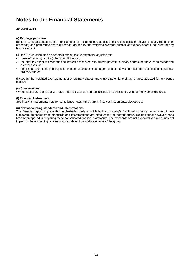# **30 June 2014**

### **(r) Earnings per share**

Basic EPS is calculated as net profit attributable to members, adjusted to exclude costs of servicing equity (other than dividends) and preference share dividends, divided by the weighted average number of ordinary shares, adjusted for any bonus element.

Diluted EPS is calculated as net profit attributable to members, adjusted for:

- costs of servicing equity (other than dividends);
- the after tax effect of dividends and interest associated with dilutive potential ordinary shares that have been recognised as expenses; and
- other non-discretionary changes in revenues or expenses during the period that would result from the dilution of potential ordinary shares;

divided by the weighted average number of ordinary shares and dilutive potential ordinary shares, adjusted for any bonus element.

### **(s) Comparatives**

Where necessary, comparatives have been reclassified and repositioned for consistency with current year disclosures.

### **(t) Financial Instruments**

See financial instruments note for compliance notes with *AASB 7*, financial instruments: disclosures.

### **(u) New accounting standards and interpretations**

The financial report is presented in Australian dollars which is the company's functional currency. A number of new standards, amendments to standards and interpretations are effective for the current annual report period; however, none have been applied in preparing these consolidated financial statements. The standards are not expected to have a material impact on the accounting policies or consolidated financial statements of the group.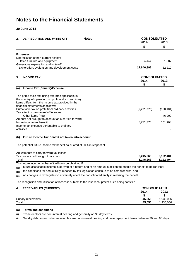**30 June 2014**

| 2.  | <b>DEPRECIATION AND WRITE OFF</b>                                                      | <b>Notes</b> | <b>CONSOLIDATED</b> |            |
|-----|----------------------------------------------------------------------------------------|--------------|---------------------|------------|
|     |                                                                                        |              | 2014                | 2013       |
|     |                                                                                        |              | \$                  | \$         |
|     | <b>Expenses</b>                                                                        |              |                     |            |
|     | Depreciation of non-current assets:<br>Office furniture and equipment                  |              | 1,416               | 1,587      |
|     | Generative exploration and write off:<br>Exploration, evaluation and development costs |              | 17,846,392          | 82,210     |
| 3.  | <b>INCOME TAX</b>                                                                      |              | <b>CONSOLIDATED</b> |            |
|     |                                                                                        |              | 2014<br>\$          | 2013<br>\$ |
| (a) | Income Tax (Benefit)/Expense                                                           |              |                     |            |
|     | The prima facie tax, using tax rates applicable in                                     |              |                     |            |
|     | the country of operation, on profit and extraordinary                                  |              |                     |            |
|     | items differs from the income tax provided in the                                      |              |                     |            |
|     | financial statements as follows:<br>Prima facie tax on profit from ordinary activities |              | (5,721,273)         | (198, 104) |
|     | Tax effect of permanent differences:                                                   |              |                     |            |
|     | Other items (net)                                                                      |              |                     | 46,200     |
|     | Amount not brought to account as a carried forward                                     |              |                     |            |
|     | future income tax benefit                                                              |              | 5,721,273           | 151,904    |
|     | Income tax expense attributable to ordinary                                            |              |                     |            |
|     | activities                                                                             |              |                     |            |

# **(b) Future Income Tax Benefit not taken into account**

The potential future income tax benefit calculated at 30% in respect of :

| Adjustments to carry forward tax losses |           |           |
|-----------------------------------------|-----------|-----------|
| Tax Losses not brought to account       | 6.245.263 | 6.122.404 |
| Total                                   | 6.245.263 | 6.122.404 |

This future income tax benefit will only be obtained if:

(a) future assessable income is derived of a nature and of an amount sufficient to enable the benefit to be realised;

(b) the conditions for deductibility imposed by tax legislation continue to be complied with; and

 $(c)$  no changes in tax legislation adversely affect the consolidated entity in realising the benefit.

The recognition and utilisation of losses is subject to the loss recoupment rules being satisfied.

# **4. RECEIVABLES (CURRENT) CONSOLIDATED**

| ٠.<br><b>INLULIVABLES (CONNENT)</b> | 99119921177157 |          |
|-------------------------------------|----------------|----------|
|                                     | 2014           | 2013     |
|                                     |                |          |
| Sundry receivables                  | 45.055         | .930.056 |
| Total                               | 45.055         | ,930,056 |
|                                     |                |          |

### **(a) Terms and conditions**

- (i) Trade debtors are non-interest bearing and generally on 30 day terms.
- (ii) Sundry debtors and other receivables are non-interest bearing and have repayment terms between 30 and 90 days.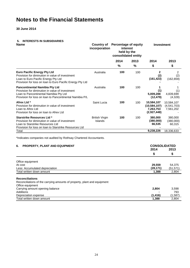**30 June 2014**

# **5. INTERESTS IN SUBSIDIARIES**

| <b>Name</b>                                                                                                                                                                                    | incorporation                    | Country of Percentage of equity<br>interest<br>held by the<br>consolidated entity |               | <b>Investment</b>                                        |                                        |  |
|------------------------------------------------------------------------------------------------------------------------------------------------------------------------------------------------|----------------------------------|-----------------------------------------------------------------------------------|---------------|----------------------------------------------------------|----------------------------------------|--|
|                                                                                                                                                                                                |                                  | 2014                                                                              | 2013          | 2014                                                     | 2013                                   |  |
|                                                                                                                                                                                                |                                  | %                                                                                 | $\frac{0}{0}$ | \$                                                       | \$                                     |  |
| <b>Euro Pacific Energy Pty Ltd</b><br>Provision for diminution in value of investment<br>Loan to Euro Pacific Energy Pty Ltd<br>Provision for loss on loan to Euro Pacific Energy Pty Ltd      | Australia                        | 100                                                                               | 100           | $\mathbf{2}$<br>(2)<br>(161, 423)                        | 2<br>(2)<br>(162, 659)                 |  |
| <b>Pancontinental Namibia Pty Ltd</b><br>Provision for diminution in value of investment<br>Loan to Pancontinental Namibia Pty Ltd<br>Provision for loss on loan to Pancontinental Namibia P/L | Australia                        | 100                                                                               | 100           | 1<br>(1)<br>5,009,288<br>(12, 479)                       | 1<br>(1)<br>4,839,699<br>(4,328)       |  |
| Afrex Ltd *<br>Provision for diminution in value of investment<br>Loan to Afrex Ltd<br>Provision for loss on loan to Afrex Ltd                                                                 | Saint Lucia                      | 100                                                                               | 100           | 10,584,107<br>(10, 584, 107)<br>7,263,753<br>(2,927,448) | 10,584,107<br>(4,541,703)<br>7,561,202 |  |
| <b>Starstrike Resources Ltd *</b><br>Provision for diminution in value of investment<br>Loan to Starstrike Resources Ltd<br>Provision for loss on loan to Starstrike Resources Ltd             | <b>British Virgin</b><br>Islands | 100                                                                               | 100           | 380,000<br>(380,000)<br>66,535                           | 380,000<br>(380,000)<br>60,315         |  |
| Total                                                                                                                                                                                          |                                  |                                                                                   |               | 9,238,226                                                | 18,336,633                             |  |
| *Indicates companies not audited by Rothsay Chartered Accountants.                                                                                                                             |                                  |                                                                                   |               |                                                          |                                        |  |
| 6.<br><b>PROPERTY, PLANT AND EQUIPMENT</b>                                                                                                                                                     |                                  |                                                                                   |               | 2014                                                     | <b>CONSOLIDATED</b><br>2013            |  |
|                                                                                                                                                                                                |                                  |                                                                                   |               | \$                                                       | \$                                     |  |
| Office equipment<br>At cost<br>Less: Accumulated depreciation                                                                                                                                  |                                  |                                                                                   |               | 29,559<br>(28, 171)                                      | 54,375<br>(51, 571)                    |  |
| Total written down amount                                                                                                                                                                      |                                  |                                                                                   |               | 1,388                                                    | 2,804                                  |  |
| <b>Reconciliations</b><br>Reconciliations of the carrying amounts of property, plant and equipment<br>Office equipment                                                                         |                                  |                                                                                   |               |                                                          |                                        |  |
| Carrying amount opening balance<br><b>Additions</b>                                                                                                                                            |                                  |                                                                                   |               | 2,804                                                    | 3,598<br>793                           |  |
| Depreciation expense                                                                                                                                                                           |                                  |                                                                                   |               | (1, 416)                                                 | (1,587)                                |  |

Total written down amount **1,388** 2,804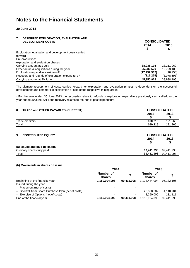**30 June 2014**

#### **7. DEFERRED EXPLORATION, EVALUATION AND DEVELOPMENT COSTS CONSOLIDATED**

| DEVELOF MENT GOOTS                                    | <u>UUINUULIDAI LD</u> |             |  |  |
|-------------------------------------------------------|-----------------------|-------------|--|--|
|                                                       | 2014                  | 2013        |  |  |
|                                                       |                       |             |  |  |
| Exploration, evaluation and development costs carried |                       |             |  |  |
| forward                                               |                       |             |  |  |
| Pre-production:                                       |                       |             |  |  |
| exploration and evaluation phases:                    |                       |             |  |  |
| Carrying amount at 1 July                             | 38,938,195            | 23.211.960  |  |  |
| Expenditure & acquisitions during the year            | 25,080,520            | 19,723,183  |  |  |
| Exploration expenditure written off                   | (17, 752, 562)        | (18,250)    |  |  |
| Recovery and refunds of exploration expenditure *     | (315,225)             | (3.978.698) |  |  |
| Carrying amount at 30 June                            | 45,950,928            | 38,938,195  |  |  |

The ultimate recoupment of costs carried forward for exploration and evaluation phases is dependent on the successful development and commercial exploitation or sale of the respective mining areas.

\* For the year ended 30 June 2013 the recoveries relate to refunds of exploration expenditure previously cash called, for the year ended 30 June 2014, the recovery relates to refunds of past expenditure.

| TRADE and OTHER PAYABLES (CURRENT)<br>8. |            | <b>CONSOLIDATED</b>         |  |
|------------------------------------------|------------|-----------------------------|--|
|                                          | 2014       | 2013                        |  |
|                                          |            |                             |  |
| Trade creditors                          | 160,215    | 121,266                     |  |
| Total                                    | 160,215    | 121,266                     |  |
| <b>CONTRIBUTED EQUITY</b><br>9.          | 2014<br>S  | <b>CONSOLIDATED</b><br>2013 |  |
| (a) Issued and paid up capital           |            |                             |  |
| Ordinary shares fully paid               | 99,411,998 | 99,411,998                  |  |
| Total                                    | 99,411,998 | 99,411,998                  |  |

### **(b) Movements in shares on issue**

|                                                     | 2014                |            | 2013                |            |  |
|-----------------------------------------------------|---------------------|------------|---------------------|------------|--|
|                                                     | Number of<br>shares |            | Number of<br>shares |            |  |
| Beginning of the financial year                     | 1,150,994,096       | 99.411.998 | 1.123.444.094       | 95.132.106 |  |
| Issued during the year:                             |                     |            |                     |            |  |
| - Placement (net of costs)                          |                     |            |                     |            |  |
| - Shortfall from Share Purchase Plan (net of costs) | $\blacksquare$      | ۰          | 25,300,002          | 4,148,781  |  |
| - Exercise of Options (net of costs)                |                     | ۰          | 2.250.000           | 131,111    |  |
| End of the financial year                           | 1,150,994,096       | 99,411,998 | 1.150.994.096       | 99.411.998 |  |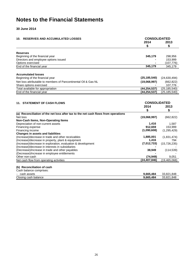# **30 June 2014**

| 10. RESERVES AND ACCUMULATED LOSSES                                                        | <b>CONSOLIDATED</b> |                       |  |
|--------------------------------------------------------------------------------------------|---------------------|-----------------------|--|
|                                                                                            | 2014                | 2013                  |  |
|                                                                                            | \$                  | S                     |  |
| <b>Reserves</b>                                                                            |                     |                       |  |
| Beginning of the financial year                                                            | 345,179             | 298,956               |  |
| Directors and employee options issued                                                      |                     | 153,999               |  |
| Options exercised                                                                          |                     | (107, 776)            |  |
| End of the financial year                                                                  | 345,179             | 345,179               |  |
| <b>Accumulated losses</b>                                                                  |                     |                       |  |
| Beginning of the financial year                                                            | (25, 185, 540)      | (24, 630, 494)        |  |
|                                                                                            |                     |                       |  |
| Net loss attributable to members of Pancontinental Oil & Gas NL<br>Share options exercised | (19,068,997)        | (662, 822)<br>107,776 |  |
| Total available for appropriation                                                          | (44, 254, 537)      | (25, 185, 540)        |  |
| End of the financial year                                                                  | (44, 254, 537)      | (25, 185, 540)        |  |
| 11. STATEMENT OF CASH FLOWS                                                                | <b>CONSOLIDATED</b> |                       |  |
|                                                                                            | 2014                | 2013                  |  |
|                                                                                            | \$                  | \$                    |  |
| (a) Reconciliation of the net loss after tax to the net cash flows from operations         |                     |                       |  |
| Net loss                                                                                   | (19,068,997)        | (662, 822)            |  |
| Non-Cash Items, Non-Operating Items                                                        |                     |                       |  |
| Depreciation of non-current assets                                                         | 1,416               | 1,587                 |  |
| Financing expense                                                                          | 912,659             | 153,999               |  |
| Financing income                                                                           | (1,090,608)         | (1,295,429)           |  |
| <b>Changes in assets and liabilities</b>                                                   |                     |                       |  |
| (Increase)/decrease in trade and other receivables                                         | 1,885,001           | (1,831,474)           |  |
| (Increase)/decrease in property, plant & equipment                                         | 1,416               | 794                   |  |
| (Increase)/decrease in exploration, evaluation & development                               | (7,012,733)         | (15, 726, 235)        |  |
| (Increase)/decrease in interests in subsidiaries                                           |                     |                       |  |
| (Decrease)/increase in trade and other payables                                            | 38,949              | (114, 539)            |  |
| (Decrease)/increase in employee entitlements                                               |                     |                       |  |
| Other non-cash                                                                             | (74, 949)           | 9,051                 |  |
| Net cash flow from operating activities                                                    | (24, 407, 846)      | (19, 465, 068)        |  |
| (b) Reconciliation of cash                                                                 |                     |                       |  |
| Cash balance comprises:                                                                    |                     |                       |  |
| cash assets                                                                                | 9,665,484           | 33,821,848            |  |
| Closing cash balance                                                                       | 9,665,484           | 33,821,848            |  |
|                                                                                            |                     |                       |  |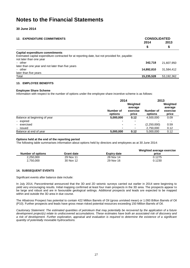# **30 June 2014**

### **12. EXPENDITURE COMMITMENTS CONSOLIDATED**

| IZ. LAFLINDITURE CONINITIVILINTO                                                                                          | <u>UUITUULIDAI LD</u> |            |  |
|---------------------------------------------------------------------------------------------------------------------------|-----------------------|------------|--|
|                                                                                                                           | 2014                  | 2013       |  |
|                                                                                                                           | \$                    | \$         |  |
| Capital expenditure commitments                                                                                           |                       |            |  |
| Estimated capital expenditure contracted for at reporting date, but not provided for, payable:<br>not later than one year |                       |            |  |
| $-$ other                                                                                                                 | 342.718               | 21.607.950 |  |
| later than one year and not later than five years                                                                         |                       |            |  |
| - other                                                                                                                   | 14,892,810            | 31,584,412 |  |
| later than five years                                                                                                     |                       |            |  |
| Total                                                                                                                     | 15,235,528            | 53,192,362 |  |
|                                                                                                                           |                       |            |  |

#### **13. EMPLOYEE BENEFITS**

#### **Employee Share Scheme**

Information with respect to the number of options under the employee share incentive scheme is as follows:

|                              | 2014                 | 2013                                     |                      |                                          |
|------------------------------|----------------------|------------------------------------------|----------------------|------------------------------------------|
|                              | Number of<br>options | Weighted<br>average<br>exercise<br>price | Number of<br>options | Weighted<br>average<br>exercise<br>price |
| Balance at beginning of year | 5,000,000            | 0.12                                     | 4,500,000            | 0.09                                     |
| - expired                    |                      |                                          |                      |                                          |
| - exercised                  | ۰                    | ۰                                        | (2,250,000)          | 0.59                                     |
| - issued                     |                      | ۰                                        | 2,750,000            | 0.12                                     |
| Balance at end of year       | 5,000,000            | 0.12                                     | 5,000,000            | 0.12                                     |

#### **Options held at the end of the reporting period**

The following table summarises information about options held by directors and employees as at 30 June 2014:

| Number of options | <b>Grant date</b> | <b>Expiry date</b> | Weighted average exercise<br>price |
|-------------------|-------------------|--------------------|------------------------------------|
| 2.250.000         | 29 Nov 11         | 28 Nov 14          | 0.1275                             |
| 2,750,000         | 30 Nov 12         | 29 Nov 16          | 0.1230                             |

### **14. SUBSEQUENT EVENTS**

Significant events after balance date include:

In July 2014, Pancontinental announced that the 3D and 2D seismic surveys carried out earlier in 2014 were beginning to yield very encouraging results. Initial mapping confirmed at least four main prospects in the 3D area. The prospects appear to be large and robust and are in favourable geological settings. Additional prospects and leads are expected to be mapped within and outside the 3D area in due course.

The Albatross Prospect has potential to contain 422 Million Barrels of Oil (gross unrisked mean) or 1.093 Billion Barrels of Oil (P10). Further prospects and leads have gross mean risked potential resources exceeding 150 Million Barrels of Oil.

*Cautionary Statement: The estimated quantities of petroleum that may potentially be recovered by the application of a future development project(s) relate to undiscovered accumulations. These estimates have both an associated risk of discovery and a risk of development. Further exploration, appraisal and evaluation is required to determine the existence of a significant quantity of potentially moveable hydrocarbons.*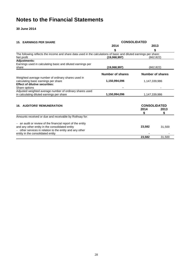# **30 June 2014**

| <b>15. EARNINGS PER SHARE</b>                                                                                                                                                                                | <b>CONSOLIDATED</b> |                                  |                  |  |  |
|--------------------------------------------------------------------------------------------------------------------------------------------------------------------------------------------------------------|---------------------|----------------------------------|------------------|--|--|
|                                                                                                                                                                                                              | 2014                | 2013                             |                  |  |  |
|                                                                                                                                                                                                              | \$                  |                                  | \$               |  |  |
| The following reflects the income and share data used in the calculations of basic and diluted earnings per share:<br>Net profit                                                                             | (19,068,997)        |                                  | (662, 822)       |  |  |
| <b>Adjustments:</b>                                                                                                                                                                                          |                     |                                  |                  |  |  |
| Earnings used in calculating basic and diluted earnings per<br>share                                                                                                                                         | (19,068,997)        |                                  | (662, 822)       |  |  |
|                                                                                                                                                                                                              | Number of shares    |                                  | Number of shares |  |  |
| Weighted average number of ordinary shares used in<br>calculating basic earnings per share<br><b>Effect of dilutive securities:</b><br>Share options                                                         | 1,150,994,096       | 1,147,339,986                    |                  |  |  |
| Adjusted weighted average number of ordinary shares used<br>in calculating diluted earnings per share                                                                                                        | 1,150,994,096       | 1,147,339,986                    |                  |  |  |
| <b>16. AUDITORS' REMUNERATION</b>                                                                                                                                                                            |                     | <b>CONSOLIDATED</b><br>2014<br>S | 2013<br>\$       |  |  |
| Amounts received or due and receivable by Rothsay for:                                                                                                                                                       |                     |                                  |                  |  |  |
| - an audit or review of the financial report of the entity<br>and any other entity in the consolidated entity<br>other services in relation to the entity and any other<br>entity in the consolidated entity |                     | 23,582                           | 31,500           |  |  |
|                                                                                                                                                                                                              |                     | 23,582                           | 31,500           |  |  |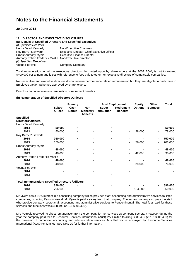**30 June 2014**

#### **17. DIRECTOR AND EXECUTIVE DISCLOSURES**

**(a) Details of Specified Directors and Specified Executives**  *(i) Specified Directors* Henry David Kennedy<br>
Roy Barry Rushworth<br>
Executive Director, Chief Roy Barry Rushworth **Executive Director, Chief Executive Officer**<br> **Executive Finance Director**<br> **Executive Finance Director** Executive Finance Director Anthony Robert Frederick Maslin Non-Executive Director *(ii) Specified Executives* Company Secretary

Total remuneration for all non-executive directors, last voted upon by shareholders at the 2007 AGM, is not to exceed \$400,000 per annum and is set with reference to fees paid to other non-executive directors of comparable companies.

Non-executive and executive directors do not receive performance related remuneration but they are eligible to participate in Employee Option Schemes approved by shareholders.

Directors do not receive any termination or retirement benefits.

#### **(b) Remuneration of Specified Directors /Officers**

|                                                          | <b>Salary</b><br>& Fees | Primary<br>Cash<br><b>Bonus</b> | <b>Non</b><br><b>Monetary</b><br>benefits | Super-<br>annuation | <b>Post Employment</b><br><b>Retirement</b><br>benefits | <b>Equity</b><br><b>Options</b> | <b>Other</b><br><b>Bonuses</b> | <b>Total</b> |
|----------------------------------------------------------|-------------------------|---------------------------------|-------------------------------------------|---------------------|---------------------------------------------------------|---------------------------------|--------------------------------|--------------|
| <b>Specified</b>                                         |                         |                                 |                                           |                     |                                                         |                                 |                                |              |
| <b>Directors/Officers</b>                                |                         |                                 |                                           |                     |                                                         |                                 |                                |              |
| Henry David Kennedy                                      |                         |                                 |                                           |                     |                                                         |                                 |                                |              |
| 2014                                                     | 50,000                  |                                 |                                           |                     |                                                         |                                 |                                | 50,000       |
| 2013                                                     | 50,000                  |                                 |                                           |                     |                                                         | 28,000                          |                                | 78,000       |
| Roy Barry Rushworth                                      |                         |                                 |                                           |                     |                                                         |                                 |                                |              |
| 2014                                                     | 750,000                 |                                 |                                           |                     |                                                         |                                 |                                | 750,000      |
| 2013                                                     | 650,000                 |                                 |                                           |                     |                                                         | 56,000                          |                                | 706,000      |
| <b>Ernest Anthony Myers</b>                              |                         |                                 |                                           |                     |                                                         |                                 |                                |              |
| 2014                                                     | 48,000                  |                                 |                                           |                     |                                                         |                                 |                                | 48,000       |
| 2013                                                     | 48,000                  |                                 |                                           |                     |                                                         | 42,000                          |                                | 90,000       |
| Anthony Robert Frederick Maslin                          |                         |                                 |                                           |                     |                                                         |                                 |                                |              |
| 2014                                                     | 48,000                  |                                 |                                           |                     |                                                         |                                 |                                | 48,000       |
| 2013                                                     | 48,000                  |                                 |                                           |                     |                                                         | 28,000                          |                                | 76,000       |
| Vesna Petrovic                                           |                         |                                 |                                           |                     |                                                         |                                 |                                |              |
| 2014                                                     |                         |                                 |                                           |                     |                                                         |                                 |                                |              |
| 2013                                                     |                         |                                 |                                           |                     |                                                         |                                 |                                |              |
| <b>Total Remuneration: Specified Directors /Officers</b> |                         |                                 |                                           |                     |                                                         |                                 |                                |              |
| 2014                                                     | 896,000                 |                                 |                                           |                     |                                                         |                                 |                                | 896,000      |
| 2013                                                     | 796,000                 |                                 |                                           |                     |                                                         | 154,000                         |                                | 950,000      |

Mr Myers has a 50% interest in a consulting company which provides staff, accounting and administrative services to listed companies, including Pancontinental. Mr Myers is paid a salary from that company. The same company also pays the staff who provide company secretarial, accounting and administrative services to Pancontinental. The total fees paid for these services and functions was \$338,496 (2013: \$305,400).

Mrs Petrovic received no direct remuneration from the company for her services as company secretary however during the year the company paid fees to Resource Services International (Aust) Pty Limited totalling \$338,496 (2013: \$305,400) for the provision of corporate, accounting and administration services. Mrs Petrovic is employed by Resource Services International (Aust) Pty Limited. See Note 20 for further information.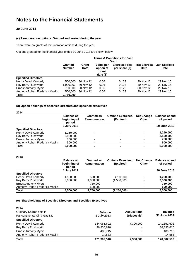# **30 June 2014**

### **(c) Remuneration options: Granted and vested during the year**

There were no grants of remuneration options during the year.

Options granted for the financial year ended 30 June 2013 are shown below:

|                                 | <b>Terms &amp; Conditions for Each</b><br>Grant |                      |                                             |                                                                      |             |             |
|---------------------------------|-------------------------------------------------|----------------------|---------------------------------------------|----------------------------------------------------------------------|-------------|-------------|
|                                 | Granted<br><b>Number</b>                        | Grant<br><b>Date</b> | Value per<br>option at<br>grant<br>date $($ | <b>Exercise Price First Exercise Last Exercise</b><br>per share (\$) | <b>Date</b> | <b>Date</b> |
| <b>Specified Directors</b>      |                                                 |                      |                                             |                                                                      |             |             |
| Henry David Kennedy             | 500.000                                         | 30 Nov 12            | 0.06                                        | 0.123                                                                | 30 Nov 12   | 29 Nov 16   |
| Roy Barry Rushworth             | 1,000,000                                       | 30 Nov 12            | 0.06                                        | 0.123                                                                | 30 Nov 12   | 29 Nov 16   |
| <b>Ernest Anthony Myers</b>     | 750,000                                         | 30 Nov 12            | 0.06                                        | 0.123                                                                | 30 Nov 12   | 29 Nov 16   |
| Anthony Robert Frederick Maslin | 500,000                                         | 30 Nov 12            | 0.06                                        | 0.123                                                                | 30 Nov 12   | 29 Nov 16   |
| <b>Total</b>                    | 2,750,000                                       |                      |                                             |                                                                      |             |             |

### **(d) Option holdings of specified directors and specified executives**

| ×<br>×<br>۰. |  |
|--------------|--|
|--------------|--|

|                                 | <b>Balance at</b><br>beginning of<br>period | <b>Granted as</b><br>Remuneration | <b>Options Exercised/</b><br>(Expired) | <b>Net Change</b><br><b>Other</b> | <b>Balance at end</b><br>of period |
|---------------------------------|---------------------------------------------|-----------------------------------|----------------------------------------|-----------------------------------|------------------------------------|
|                                 | 1 July 2013                                 |                                   |                                        |                                   | 30 June 2013                       |
| <b>Specified Directors</b>      |                                             |                                   |                                        |                                   |                                    |
| Henry David Kennedy             | 1.250.000                                   | ٠                                 | ۰                                      | $\overline{\phantom{0}}$          | 1.250.000                          |
| Roy Barry Rushworth             | 2,500,000                                   | $\overline{\phantom{0}}$          | $\overline{\phantom{0}}$               | $\overline{\phantom{0}}$          | 2,500,000                          |
| <b>Ernest Anthony Myers</b>     | 750,000                                     | $\overline{\phantom{0}}$          | $\overline{\phantom{0}}$               | $\overline{\phantom{0}}$          | 750.000                            |
| Anthony Robert Frederick Maslin | 500,000                                     | ٠                                 | $\overline{\phantom{a}}$               | $\overline{\phantom{0}}$          | 500,000                            |
| Total                           | 5.000.000                                   | $\overline{\phantom{0}}$          | $\blacksquare$                         | $\overline{\phantom{0}}$          | 5,000,000                          |

#### **2013**

|                                 | <b>Balance at</b><br>beginning of<br>period | <b>Granted as</b><br>Remuneration | <b>Options Exercised/</b><br>(Expired) | <b>Net Change</b><br><b>Other</b> | <b>Balance at end</b><br>of period |
|---------------------------------|---------------------------------------------|-----------------------------------|----------------------------------------|-----------------------------------|------------------------------------|
|                                 | 1 July 2012                                 |                                   |                                        |                                   | 30 June 2013                       |
| <b>Specified Directors</b>      |                                             |                                   |                                        |                                   |                                    |
| Henry David Kennedy             | 1,500,000                                   | 500,000                           | (750,000)                              | -                                 | 1,250,000                          |
| Roy Barry Rushworth             | 3.000.000                                   | 1,000,000                         | (1,500,000)                            | -                                 | 2,500,000                          |
| <b>Ernest Anthony Myers</b>     | ۰                                           | 750,000                           |                                        | $\overline{\phantom{0}}$          | 750.000                            |
| Anthony Robert Frederick Maslin | ۰                                           | 500,000                           |                                        |                                   | 500,000                            |
| Total                           | 4.500.000                                   | 2,750,000                         | (2, 250, 000)                          |                                   | 5,000,000                          |

# **(e) Shareholdings of Specified Directors and Specified Executives**

| 2014                            |                |                     |                |
|---------------------------------|----------------|---------------------|----------------|
| Ordinary Shares held in         | <b>Balance</b> | <b>Acquisitions</b> | <b>Balance</b> |
| Pancontinental Oil & Gas NL     | 1 July 2013    | (Disposals)         | 30 June 2014   |
| <b>Specified Directors</b>      |                |                     |                |
| Henry David Kennedy             | 134,051,602    | 7.300.000           | 141,351,602    |
| Roy Barry Rushworth             | 36,835,610     |                     | 36,835,610     |
| <b>Ernest Anthony Myers</b>     | 400.715        | -                   | 400.715        |
| Anthony Robert Frederick Maslin | 14.583         |                     | 14,583         |
| <b>Total</b>                    | 171,302,510    | 7,300,000           | 178,602,510    |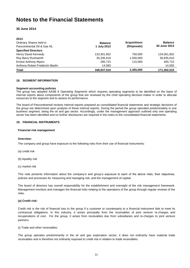# **30 June 2014**

| 2013                            |                |                          |                |
|---------------------------------|----------------|--------------------------|----------------|
| Ordinary Shares held in         | <b>Balance</b> | <b>Acquisitions</b>      | <b>Balance</b> |
| Pancontinental Oil & Gas NL     | 1 July 2012    | (Disposals)              | 30 June 2013   |
| <b>Specified Directors</b>      |                |                          |                |
| Henry David Kennedy             | 133,301,602    | 750,000                  | 134,051,602    |
| Roy Barry Rushworth             | 35,335,610     | 1,500,000                | 36,835,610     |
| <b>Ernest Anthony Myers</b>     | 285.715        | 115,000                  | 400,715        |
| Anthony Robert Frederick Maslin | 14,583         | $\overline{\phantom{0}}$ | 14,583         |
| <b>Total</b>                    | 168,937,510    | 2,365,000                | 171,302,510    |

#### **18. SEGMENT INFORMATION**

#### **Segment accounting policies**

The group has adopted AASB 8 *Operating Segments* which requires operating segments to be identified on the basis of internal reports about components of the group that are reviewed by the chief operating decision-maker in order to allocate resources to the segment and to assess its performance.

The board of Pancontinental reviews internal reports prepared as consolidated financial statements and strategic decisions of the group are determined upon analysis of these internal reports. During the period the group operated predominately in one business segment, being the oil and gas sector. Accordingly, under the management approach outlined only one operating sector has been identified and no further disclosures are required in the notes to the consolidated financial statements.

#### **19. FINANCIAL INSTRUMENTS**

#### **Financial risk management**

#### **Overview:**

The company and group have exposure to the following risks from their use of financial instruments:

- (a) credit risk
- (b) liquidity risk
- (c) market risk

This note presents information about the company's and group's exposure to each of the above risks, their objectives, policies and processes for measuring and managing risk, and the management of capital.

The board of directors has overall responsibility for the establishment and oversight of the risk management framework. Management monitors and manages the financial risks relating to the operations of the group through regular reviews of the risks.

#### **(a) Credit risk:**

Credit risk is the risk of financial loss to the group if a customer or counterparty to a financial instrument fails to meet its contractual obligations. In this industry, it arises principally from the receivables of joint venture re-charges and recuperations of cost. For the group, it arises from receivables due from subsidiaries and re-charges to joint venture partners.

(i) Trade and other receivables:

The group operates predominantly in the oil and gas exploration sector; it does not ordinarily have material trade receivables and is therefore not ordinarily exposed to credit risk in relation to trade receivables.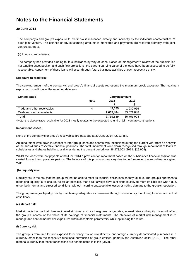# **30 June 2014**

The company"s and group"s exposure to credit risk is influenced directly and indirectly by the individual characteristics of each joint venture. The balance of any outstanding amounts is monitored and payments are received promptly from joint venture partners.

(ii) Loans to subsidiaries:

The company has provided funding to its subsidiaries by way of loans. Based on management"s review of the subsidiaries net tangible asset position and cash flow projections, the current carrying value of the loans have been assessed to be fully recoverable. Repayment of these loans will occur through future business activities of each respective entity.

#### **Exposure to credit risk**

The carrying amount of the company"s and group"s financial assets represents the maximum credit exposure. The maximum exposure to credit risk at the reporting date was:

| <b>Consolidated</b>         |             | <b>Carrying amount</b> |            |  |
|-----------------------------|-------------|------------------------|------------|--|
|                             | <b>Note</b> | 2014                   | 2013       |  |
|                             |             |                        |            |  |
| Trade and other receivables | 4           | 45.055                 | 1.930.056  |  |
| Cash and cash equivalents   |             | 9,665,484              | 33,821,848 |  |
| Total                       |             | 9,710,539              | 35,751,904 |  |

\*Note, the above trade receivable for 2013 mostly relates to the expected refund of joint venture contributions.

#### **Impairment losses:**

None of the company"s or group"s receivables are past due at 30 June 2014, (2013: nil).

An impairment write down in respect of inter-group loans and shares was recognised during the current year from an analysis of the subsidiaries respective financial positions. The total impairment write down recognised through impairment of loans to subsidiaries and shares held in subsidiaries during the current period was \$8,978,003 (2013: \$29,904).

Whilst the loans were not payable at 30 June 2014 a provision for impairment based on the subsidiaries financial position was carried forward from previous periods. The balance of this provision may vary due to performance of a subsidiary in a given year.

#### **(b) Liquidity risk:**

Liquidity risk is the risk that the group will not be able to meet its financial obligations as they fall due. The group"s approach to managing liquidity is to ensure, as far as possible, that it will always have sufficient liquidity to meet its liabilities when due, under both normal and stressed conditions, without incurring unacceptable losses or risking damage to the group"s reputation.

The group manages liquidity risk by maintaining adequate cash reserves through continuously monitoring forecast and actual cash flows.

#### **(c) Market risk:**

Market risk is the risk that changes in market prices, such as foreign exchange rates, interest rates and equity prices will affect the group"s income or the value of its holdings of financial instruments. The objective of market risk management is to manage and control market risk exposures within acceptable parameters, while optimising the return.

#### (i) Currency risk:

The group is from time to time exposed to currency risk on investments, and foreign currency denominated purchases in a currency other than the respective functional currencies of group entities, primarily the Australian dollar (AUD). The other material currency that these transactions are denominated in is the (USD).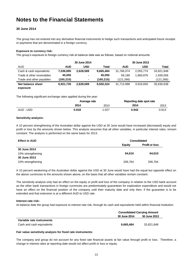# **30 June 2014**

The group has not entered into any derivative financial instruments to hedge such transactions and anticipated future receipts or payments that are denominated in a foreign currency.

### **Exposure to currency risk:**

The group"s exposure to foreign currency risk at balance date was as follows, based on notional amounts:

|                           |            | 30 June 2014 |           |            | 30 June 2013 |            |
|---------------------------|------------|--------------|-----------|------------|--------------|------------|
| AUD                       | <b>AUD</b> | USD          | Total     | <b>AUD</b> | <b>USD</b>   | Total      |
| Cash & cash equivalents   | 7,036,895  | 2,628,589    | 9.665.484 | 31,766,074 | 2,055,774    | 33,821,848 |
| Trade & other receivables | 45,055     | ٠            | 45.055    | 69.180     | 1.860.876    | 1,930,056  |
| Trade and other payables  | (160, 215) | ٠.           | (160.215) | (121,266)  | ۰            | (121,266)  |
| Net balance sheet         | 6,921,735  | 2,628,589    | 9,550,324 | 31,713,988 | 3,916,650    | 35,630,638 |
| exposure                  |            |              |           |            |              |            |

The following significant exchange rates applied during the year:

|           |       | Average rate |       | Reporting date spot rate |
|-----------|-------|--------------|-------|--------------------------|
|           | 2014  | 2013         | 2014  | 2013                     |
| AUD : USD | 0.918 | 1.027        | 0.942 | 0.913                    |

### **Sensitivity analysis:**

A 10 percent strengthening of the Australian dollar against the USD at 30 June would have increased (decreased) equity and profit or loss by the amounts shown below. This analysis assumes that all other variables, in particular interest rates, remain constant. The analysis is performed on the same basis for 2013.

| <b>Effect in AUD</b> |               | <b>Consolidated</b>   |  |
|----------------------|---------------|-----------------------|--|
|                      | <b>Equity</b> | <b>Profit or loss</b> |  |
| 30 June 2014         |               |                       |  |
| 10% strengthening    | 64.610        | 64,610                |  |
| 30 June 2013         |               |                       |  |
| 10% strengthening    | 206,764       | 206,764               |  |

A 10 percent weakening of the Australian dollar against the USD at 30 June would have had the equal but opposite effect on the above currencies to the amounts shown above, on the basis that all other variables remain constant.

The sensitivity analysis only had an effect on the equity or profit and loss of the company in relation to the USD bank account as the other bank transactions in foreign currencies are predominately guarantees for exploration expenditure and would not have an effect on the financial position of the company until their maturity date and only then, if the guarantee is to be extended and that extension is at a different AUD to USD rate.

#### **Interest rate risk:**

At balance date the group had exposure to interest rate risk, through its cash and equivalents held within financial institution.

|                           | <b>Consolidated Carrying Amount</b> |              |  |
|---------------------------|-------------------------------------|--------------|--|
|                           | <b>30 June 2014</b>                 | 30 June 2013 |  |
| Variable rate instruments |                                     |              |  |
| Cash and cash equivalents | 9.665.484                           | 33.821.848   |  |

#### **Fair value sensitivity analysis for fixed rate instruments:**

The company and group do not account for any fixed rate financial assets at fair value through profit or loss. Therefore, a change in interest rates at reporting date would not affect profit or loss or equity.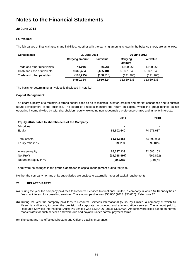# **30 June 2014**

# **Fair values:**

The fair values of financial assets and liabilities, together with the carrying amounts shown in the balance sheet, are as follows:

| <b>Consolidated</b>         |                        | 30 June 2014      |                    | 30 June 2013      |
|-----------------------------|------------------------|-------------------|--------------------|-------------------|
|                             | <b>Carrying amount</b> | <b>Fair value</b> | Carrying<br>amount | <b>Fair value</b> |
| Trade and other receivables | 45.055                 | 45.055            | 1,930,056          | 1,930,056         |
| Cash and cash equivalents   | 9,665,484              | 9,665,484         | 33.821.848         | 33,821,848        |
| Trade and other payables    | (160,215)              | (160, 215)        | (121,266)          | (121,266)         |
|                             | 9,550,324              | 9,550,324         | 35,630,638         | 35,630,638        |

The basis for determining fair values is disclosed in note [1].

### **Capital Management:**

The board"s policy is to maintain a strong capital base so as to maintain investor, creditor and market confidence and to sustain future development of the business. The board of directors monitors the return on capital, which the group defines as net operating income divided by total shareholders" equity, excluding non-redeemable preference shares and minority interests.

|                                                    | 2014         | 2013       |
|----------------------------------------------------|--------------|------------|
| Equity attributable to shareholders of the Company |              |            |
| <b>Minorities</b>                                  |              |            |
| Equity                                             | 55,502,640   | 74,571,637 |
|                                                    |              |            |
| Total assets                                       | 55,662,855   | 74,692,903 |
| Equity ratio in %                                  | 99.71%       | 99.84%     |
|                                                    |              |            |
| Average equity                                     | 65,037,139   | 72,686,103 |
| Net Profit                                         | (19,068,997) | (662, 822) |
| Return on Equity in %                              | $(29.32)\%$  | $(0.91)\%$ |
|                                                    |              |            |

There were no changes in the group"s approach to capital management during the year.

Neither the company nor any of its subsidiaries are subject to externally imposed capital requirements.

### **20. RELATED PARTY**

- (a) During the year the company paid fees to Resource Services International Limited, a company in which Mr Kennedy has a financial interest, for consulting services. The amount paid to was \$50,000 (2013: \$50,000). Refer note 17.
- (b) During the year the company paid fees to Resource Services International (Aust) Pty Limited, a company of which Mr Myers is a director, to cover the provision of corporate, accounting and administration services. The amount paid to Resource Services International (Aust) Pty Limited was \$338,496 (2013: \$305,400). Amounts were billed based on normal market rates for such services and were due and payable under normal payment terms.

(c) The company has effected Directors and Officers Liability Insurance.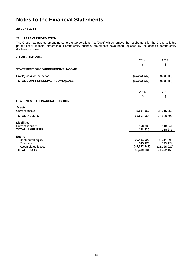# **30 June 2014**

# **21. PARENT INFORMATION**

The Group has applied amendments to the Corporations Act (2001) which remove the requirement for the Group to lodge parent entity financial statements. Parent entity financial statements have been replaced by the specific parent entity disclosures below.

# **AT 30 JUNE 2014**

|                                          | 2014         | 2013           |
|------------------------------------------|--------------|----------------|
|                                          | \$           | \$             |
| <b>STATEMENT OF COMPREHENSIVE INCOME</b> |              |                |
| Profit/(Loss) for the period             | (19,062,522) | (653, 500)     |
| <b>TOTAL COMPREHENSIVE INCOME/(LOSS)</b> | (19,062,522) | (653, 500)     |
|                                          | 2014         | 2013           |
|                                          | \$           | \$             |
| <b>STATEMENT OF FINANCIAL POSITION</b>   |              |                |
| <b>Assets</b>                            |              |                |
| <b>Current assets</b>                    | 8,884,363    | 34,315,253     |
| <b>TOTAL ASSETS</b>                      | 55,567,964   | 74,590,496     |
| Liabilities                              |              |                |
| <b>Current liabilities</b>               | 158,330      | 118,341        |
| <b>TOTAL LIABILITIES</b>                 | 158,330      | 118,341        |
| <b>Equity</b>                            |              |                |
| Contributed equity                       | 99,411,998   | 99,411,998     |
| Reserves                                 | 345,179      | 345,179        |
| <b>Accumulated losses</b>                | (44,347,543) | (25, 285, 022) |
| <b>TOTAL EQUITY</b>                      | 55,409,634   | 74,472,155     |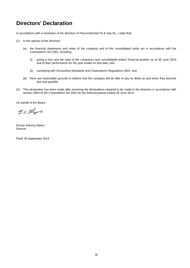# **Directors' Declaration**

In accordance with a resolution of the directors of Pancontinental Oil & Gas NL, I state that:

- (1) In the opinion of the directors:
	- (a) the financial statements and notes of the company and of the consolidated entity are in accordance with the Corporations Act 2001, including:
		- (i) giving a true and fair view of the company's and consolidated entity's financial position as at 30 June 2014 and of their performance for the year ended on that date; and
		- (ii) complying with Accounting Standards and Corporations Regulations 2001; and
	- (b) there are reasonable grounds to believe that the company will be able to pay its debts as and when they become due and payable.
- (2) This declaration has been made after receiving the declarations required to be made to the directors in accordance with section 295A of the Corporations Act 2001 for the financial period ending 30 June 2014.

On behalf of the Board

S.a. Mgers

Ernest Anthony Myers **Director** 

Perth 30 September 2014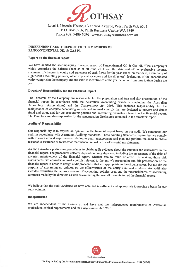

Level 1, Lincoln House, 4 Ventnor Avenue, West Perth WA 6005 P.O. Box 8716, Perth Business Centre WA 6849 Phone (08) 9486 7094 www.rothsayresources.com.au

# **INDEPENDENT AUDIT REPORT TO THE MEMBERS OF** PANCONTINENTAL OIL & GAS NL

#### Report on the financial report

We have audited the accompanying financial report of Pancontinental Oil & Gas NL "(the Company") which comprises the balance sheet as at 30 June 2014 and the statement of comprehensive income. statement of changes in equity and statement of cash flows for the year ended on that date, a summary of significant accounting policies, other explanatory notes and the directors' declaration of the consolidated entity comprising the company and the entities it controlled at the year's end or from time to time during the year.

# **Directors' Responsibility for the Financial Report**

The Directors of the Company are responsible for the preparation and true and fair presentation of the financial report in accordance with the Australian Accounting Standards (including the Australian Accounting Interpretations) and the Corporations Act 2001. This includes responsibility for the maintenance of adequate accounting records and internal controls that are designed to prevent and detect fraud and error, and for the accounting policies and accounting estimates inherent in the financial report. The Directors are also responsible for the remuneration disclosures contained in the directors' report.

### **Auditors' Responsibility**

Our responsibility is to express an opinion on the financial report based on our audit. We conducted our audit in accordance with Australian Auditing Standards. These Auditing Standards require that we comply with relevant ethical requirements relating to audit engagements and plan and perform the audit to obtain reasonable assurance as to whether the financial report is free of material misstatement.

An audit involves performing procedures to obtain audit evidence about the amounts and disclosures in the financial report. The procedures selected depend on our judgement, including the assessment of the risks of material misstatement of the financial report, whether due to fraud or error. In making those risk assessments, we consider internal controls relevant to the entity's preparation and fair presentation of the financial report in order to design audit procedures that are appropriate to the circumstances, but not for the purpose of expressing an opinion on the effectiveness of the entity's internal controls. An audit also includes evaluating the appropriateness of accounting policies used and the reasonableness of accounting estimates made by the directors as well as evaluating the overall presentation of the financial report.

We believe that the audit evidence we have obtained is sufficient and appropriate to provide a basis for our audit opinion.

#### Independence

We are independent of the Company, and have met the independence requirements of Australian professional ethical requirements and the Corporations Act 2001.